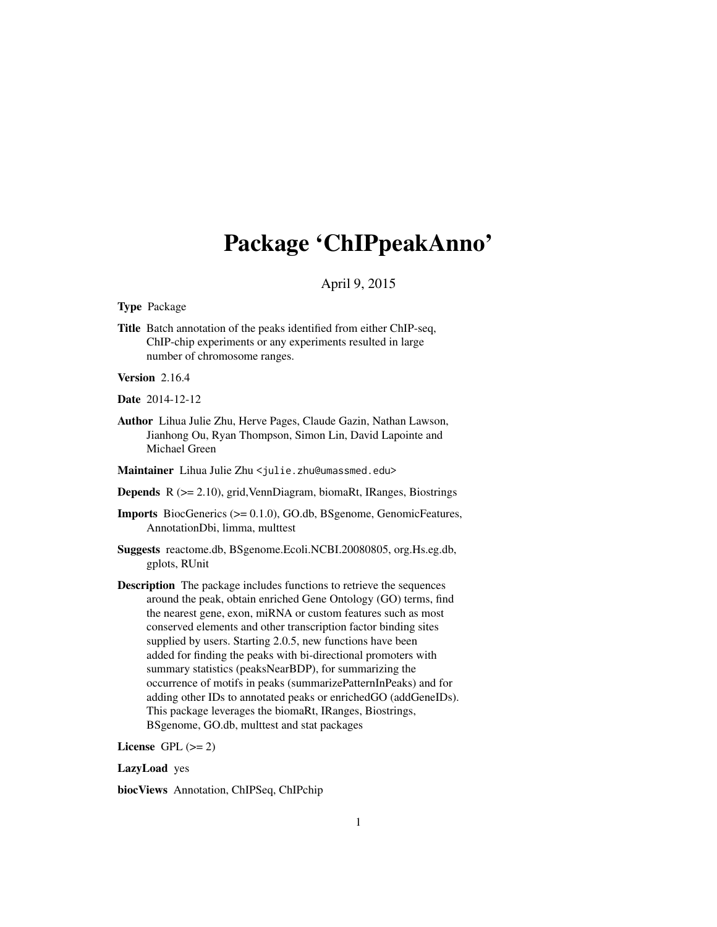# <span id="page-0-0"></span>Package 'ChIPpeakAnno'

### April 9, 2015

Type Package

Title Batch annotation of the peaks identified from either ChIP-seq, ChIP-chip experiments or any experiments resulted in large number of chromosome ranges.

Version 2.16.4

Date 2014-12-12

Author Lihua Julie Zhu, Herve Pages, Claude Gazin, Nathan Lawson, Jianhong Ou, Ryan Thompson, Simon Lin, David Lapointe and Michael Green

Maintainer Lihua Julie Zhu <julie.zhu@umassmed.edu>

Depends R (>= 2.10), grid,VennDiagram, biomaRt, IRanges, Biostrings

Imports BiocGenerics (>= 0.1.0), GO.db, BSgenome, GenomicFeatures, AnnotationDbi, limma, multtest

- Suggests reactome.db, BSgenome.Ecoli.NCBI.20080805, org.Hs.eg.db, gplots, RUnit
- Description The package includes functions to retrieve the sequences around the peak, obtain enriched Gene Ontology (GO) terms, find the nearest gene, exon, miRNA or custom features such as most conserved elements and other transcription factor binding sites supplied by users. Starting 2.0.5, new functions have been added for finding the peaks with bi-directional promoters with summary statistics (peaksNearBDP), for summarizing the occurrence of motifs in peaks (summarizePatternInPeaks) and for adding other IDs to annotated peaks or enrichedGO (addGeneIDs). This package leverages the biomaRt, IRanges, Biostrings, BSgenome, GO.db, multtest and stat packages

License GPL  $(>= 2)$ 

#### LazyLoad yes

biocViews Annotation, ChIPSeq, ChIPchip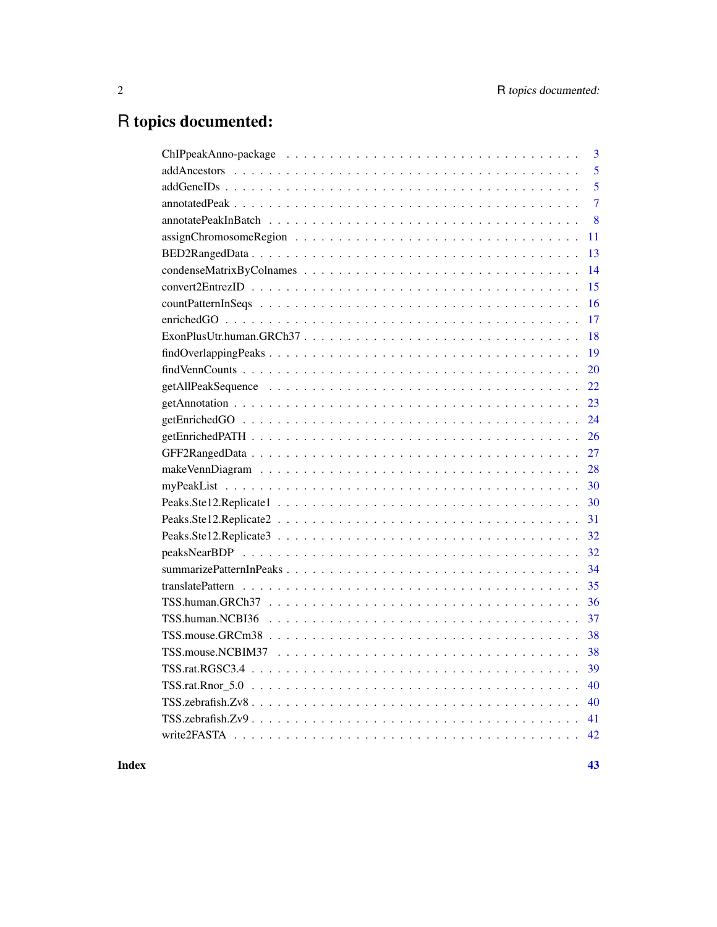# R topics documented:

| 3              |
|----------------|
| 5              |
| 5              |
| $\overline{7}$ |
| 8              |
| 11             |
| 13             |
| 14             |
| 15             |
| 16             |
| 17             |
| 18             |
| 19             |
| 20             |
| 22             |
| 23             |
| 24             |
| 26             |
| 27             |
| 28             |
| 30             |
| 30             |
| 31             |
| 32             |
| 32             |
| 34             |
| 35             |
| 36             |
| 37             |
| 38             |
| 38             |
| 39             |
| 40             |
| 40             |
| 41             |
| 42             |
|                |

#### **Index** [43](#page-42-0)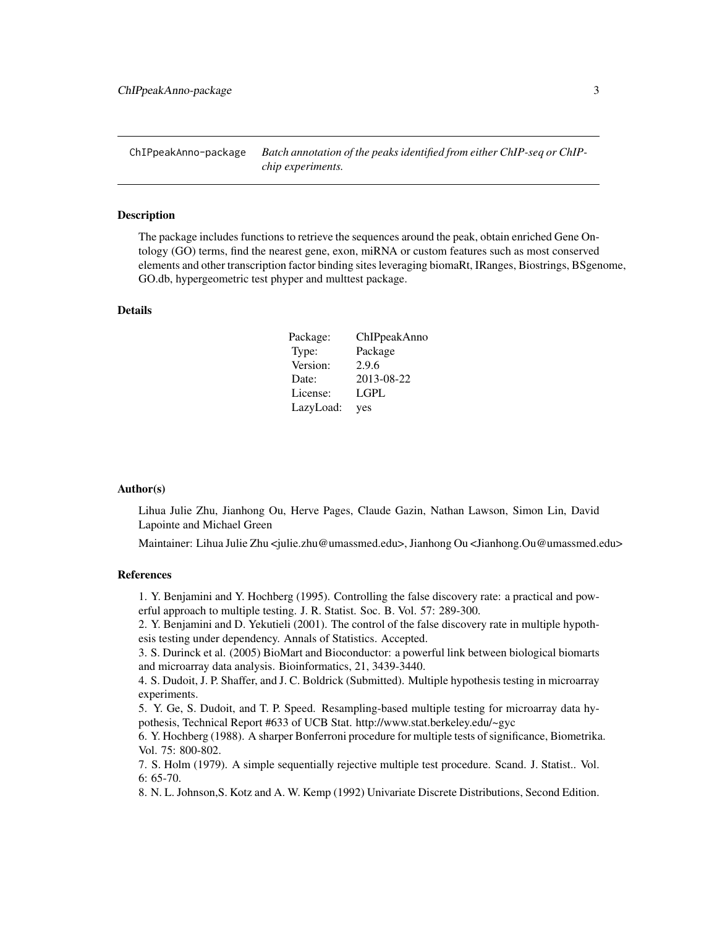<span id="page-2-0"></span>ChIPpeakAnno-package *Batch annotation of the peaks identified from either ChIP-seq or ChIPchip experiments.*

#### Description

The package includes functions to retrieve the sequences around the peak, obtain enriched Gene Ontology (GO) terms, find the nearest gene, exon, miRNA or custom features such as most conserved elements and other transcription factor binding sites leveraging biomaRt, IRanges, Biostrings, BSgenome, GO.db, hypergeometric test phyper and multtest package.

### Details

| Package:  | ChIPpeakAnno |
|-----------|--------------|
| Type:     | Package      |
| Version:  | 2.9.6        |
| Date:     | 2013-08-22   |
| License:  | LGPL         |
| LazyLoad: | yes          |

### Author(s)

Lihua Julie Zhu, Jianhong Ou, Herve Pages, Claude Gazin, Nathan Lawson, Simon Lin, David Lapointe and Michael Green

Maintainer: Lihua Julie Zhu <julie.zhu@umassmed.edu>, Jianhong Ou <Jianhong.Ou@umassmed.edu>

#### References

1. Y. Benjamini and Y. Hochberg (1995). Controlling the false discovery rate: a practical and powerful approach to multiple testing. J. R. Statist. Soc. B. Vol. 57: 289-300.

2. Y. Benjamini and D. Yekutieli (2001). The control of the false discovery rate in multiple hypothesis testing under dependency. Annals of Statistics. Accepted.

3. S. Durinck et al. (2005) BioMart and Bioconductor: a powerful link between biological biomarts and microarray data analysis. Bioinformatics, 21, 3439-3440.

4. S. Dudoit, J. P. Shaffer, and J. C. Boldrick (Submitted). Multiple hypothesis testing in microarray experiments.

5. Y. Ge, S. Dudoit, and T. P. Speed. Resampling-based multiple testing for microarray data hypothesis, Technical Report #633 of UCB Stat. http://www.stat.berkeley.edu/~gyc

6. Y. Hochberg (1988). A sharper Bonferroni procedure for multiple tests of significance, Biometrika. Vol. 75: 800-802.

7. S. Holm (1979). A simple sequentially rejective multiple test procedure. Scand. J. Statist.. Vol. 6: 65-70.

8. N. L. Johnson,S. Kotz and A. W. Kemp (1992) Univariate Discrete Distributions, Second Edition.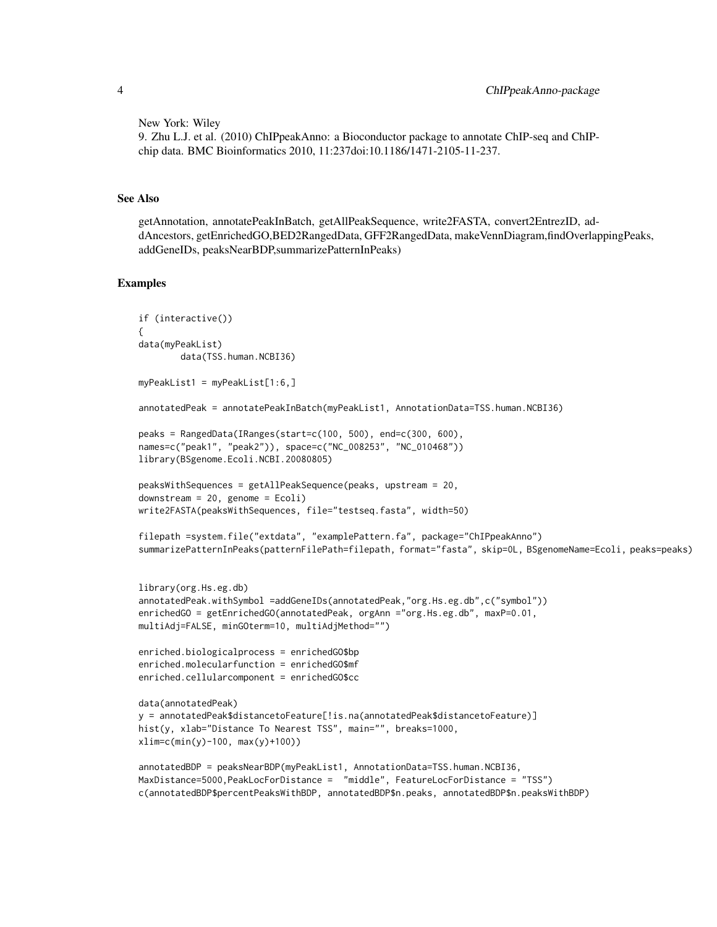New York: Wiley

```
9. Zhu L.J. et al. (2010) ChIPpeakAnno: a Bioconductor package to annotate ChIP-seq and ChIP-
chip data. BMC Bioinformatics 2010, 11:237doi:10.1186/1471-2105-11-237.
```
### See Also

getAnnotation, annotatePeakInBatch, getAllPeakSequence, write2FASTA, convert2EntrezID, addAncestors, getEnrichedGO,BED2RangedData, GFF2RangedData, makeVennDiagram,findOverlappingPeaks, addGeneIDs, peaksNearBDP,summarizePatternInPeaks)

```
if (interactive())
{
data(myPeakList)
       data(TSS.human.NCBI36)
myPeakList1 = myPeakList[1:6,]
annotatedPeak = annotatePeakInBatch(myPeakList1, AnnotationData=TSS.human.NCBI36)
peaks = RangedData(IRanges(start=c(100, 500), end=c(300, 600),
names=c("peak1", "peak2")), space=c("NC_008253", "NC_010468"))
library(BSgenome.Ecoli.NCBI.20080805)
peaksWithSequences = getAllPeakSequence(peaks, upstream = 20,
downstream = 20, genome = Ecoli)
write2FASTA(peaksWithSequences, file="testseq.fasta", width=50)
filepath =system.file("extdata", "examplePattern.fa", package="ChIPpeakAnno")
summarizePatternInPeaks(patternFilePath=filepath, format="fasta", skip=0L, BSgenomeName=Ecoli, peaks=peaks)
library(org.Hs.eg.db)
annotatedPeak.withSymbol =addGeneIDs(annotatedPeak,"org.Hs.eg.db",c("symbol"))
enrichedGO = getEnrichedGO(annotatedPeak, orgAnn ="org.Hs.eg.db", maxP=0.01,
multiAdj=FALSE, minGOterm=10, multiAdjMethod="")
enriched.biologicalprocess = enrichedGO$bp
enriched.molecularfunction = enrichedGO$mf
enriched.cellularcomponent = enrichedGO$cc
data(annotatedPeak)
y = annotatedPeak$distancetoFeature[!is.na(annotatedPeak$distancetoFeature)]
hist(y, xlab="Distance To Nearest TSS", main="", breaks=1000,
xlim=c(min(y)-100, max(y)+100))
annotatedBDP = peaksNearBDP(myPeakList1, AnnotationData=TSS.human.NCBI36,
MaxDistance=5000,PeakLocForDistance = "middle", FeatureLocForDistance = "TSS")
c(annotatedBDP$percentPeaksWithBDP, annotatedBDP$n.peaks, annotatedBDP$n.peaksWithBDP)
```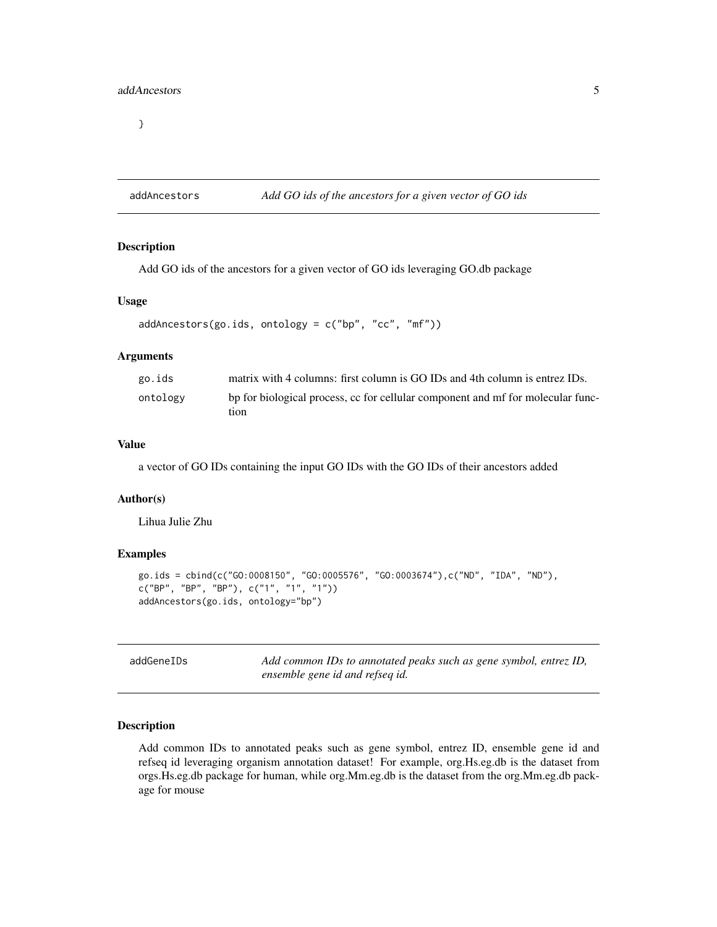<span id="page-4-0"></span>}

### addAncestors *Add GO ids of the ancestors for a given vector of GO ids*

#### Description

Add GO ids of the ancestors for a given vector of GO ids leveraging GO.db package

### Usage

```
addAncestors(go.ids, ontology = c("bp", "cc", "mf"))
```
### Arguments

| go.ids   | matrix with 4 columns: first column is GO IDs and 4th column is entrez IDs.             |
|----------|-----------------------------------------------------------------------------------------|
| ontology | bp for biological process, cc for cellular component and mf for molecular func-<br>tion |

### Value

a vector of GO IDs containing the input GO IDs with the GO IDs of their ancestors added

### Author(s)

Lihua Julie Zhu

### Examples

```
go.ids = cbind(c("GO:0008150", "GO:0005576", "GO:0003674"),c("ND", "IDA", "ND"),
c("BP", "BP", "BP"), c("1", "1", "1"))
addAncestors(go.ids, ontology="bp")
```

| addGeneIDs | Add common IDs to annotated peaks such as gene symbol, entrez ID, |
|------------|-------------------------------------------------------------------|
|            | ensemble gene id and refseq id.                                   |

#### Description

Add common IDs to annotated peaks such as gene symbol, entrez ID, ensemble gene id and refseq id leveraging organism annotation dataset! For example, org.Hs.eg.db is the dataset from orgs.Hs.eg.db package for human, while org.Mm.eg.db is the dataset from the org.Mm.eg.db package for mouse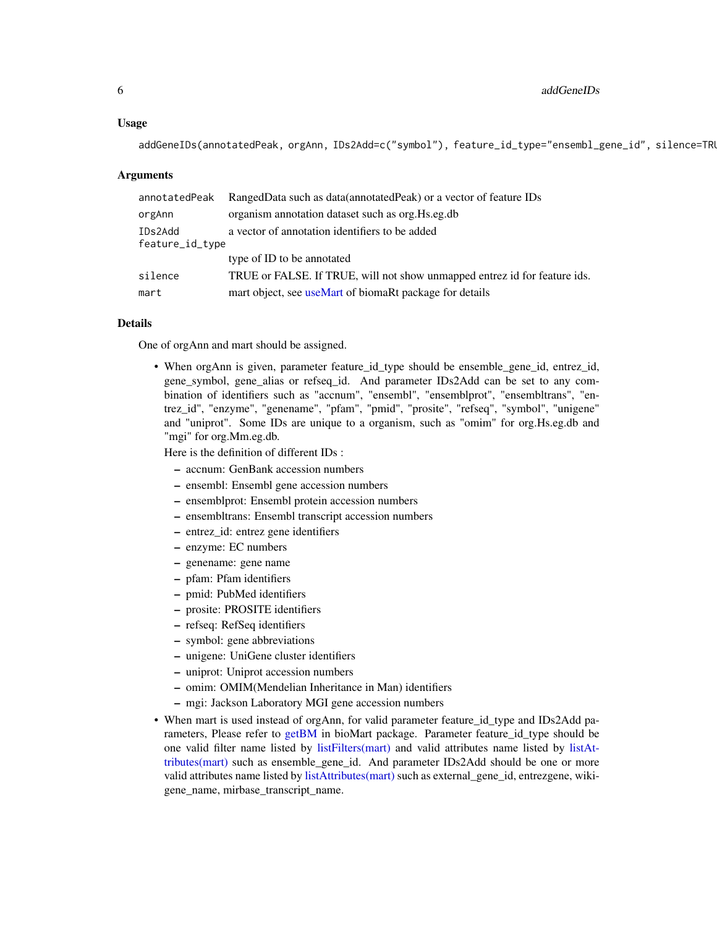#### Usage

addGeneIDs(annotatedPeak, orgAnn, IDs2Add=c("symbol"), feature\_id\_type="ensembl\_gene\_id", silence=TRU

#### Arguments

| annotatedPeak              | RangedData such as data(annotatedPeak) or a vector of feature IDs         |
|----------------------------|---------------------------------------------------------------------------|
| orgAnn                     | organism annotation dataset such as org. Hs.eg.db                         |
| IDs2Add<br>feature_id_type | a vector of annotation identifiers to be added                            |
|                            | type of ID to be annotated                                                |
| silence                    | TRUE or FALSE. If TRUE, will not show unmapped entrez id for feature ids. |
| mart                       | mart object, see useMart of biomaRt package for details                   |

#### Details

One of orgAnn and mart should be assigned.

• When orgAnn is given, parameter feature\_id\_type should be ensemble\_gene\_id, entrez\_id, gene\_symbol, gene\_alias or refseq\_id. And parameter IDs2Add can be set to any combination of identifiers such as "accnum", "ensembl", "ensemblprot", "ensembltrans", "entrez\_id", "enzyme", "genename", "pfam", "pmid", "prosite", "refseq", "symbol", "unigene" and "uniprot". Some IDs are unique to a organism, such as "omim" for org.Hs.eg.db and "mgi" for org.Mm.eg.db.

Here is the definition of different IDs :

- accnum: GenBank accession numbers
- ensembl: Ensembl gene accession numbers
- ensemblprot: Ensembl protein accession numbers
- ensembltrans: Ensembl transcript accession numbers
- entrez\_id: entrez gene identifiers
- enzyme: EC numbers
- genename: gene name
- pfam: Pfam identifiers
- pmid: PubMed identifiers
- prosite: PROSITE identifiers
- refseq: RefSeq identifiers
- symbol: gene abbreviations
- unigene: UniGene cluster identifiers
- uniprot: Uniprot accession numbers
- omim: OMIM(Mendelian Inheritance in Man) identifiers
- mgi: Jackson Laboratory MGI gene accession numbers
- When mart is used instead of orgAnn, for valid parameter feature\_id\_type and IDs2Add parameters, Please refer to [getBM](#page-0-0) in bioMart package. Parameter feature\_id\_type should be one valid filter name listed by [listFilters\(mart\)](#page-0-0) and valid attributes name listed by [listAt](#page-0-0)[tributes\(mart\)](#page-0-0) such as ensemble\_gene\_id. And parameter IDs2Add should be one or more valid attributes name listed by [listAttributes\(mart\)](#page-0-0) such as external\_gene\_id, entrezgene, wikigene\_name, mirbase\_transcript\_name.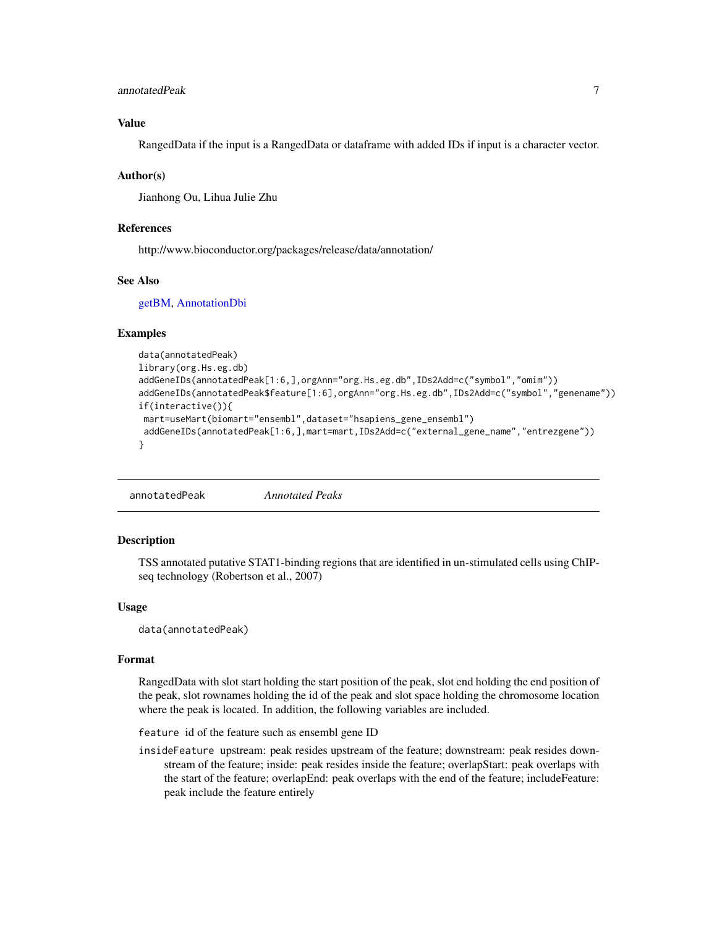### <span id="page-6-0"></span>annotatedPeak 7

### Value

RangedData if the input is a RangedData or dataframe with added IDs if input is a character vector.

#### Author(s)

Jianhong Ou, Lihua Julie Zhu

#### References

http://www.bioconductor.org/packages/release/data/annotation/

### See Also

[getBM,](#page-0-0) [AnnotationDbi](#page-0-0)

#### Examples

```
data(annotatedPeak)
library(org.Hs.eg.db)
addGeneIDs(annotatedPeak[1:6,],orgAnn="org.Hs.eg.db",IDs2Add=c("symbol","omim"))
addGeneIDs(annotatedPeak$feature[1:6],orgAnn="org.Hs.eg.db",IDs2Add=c("symbol","genename"))
if(interactive()){
mart=useMart(biomart="ensembl",dataset="hsapiens_gene_ensembl")
addGeneIDs(annotatedPeak[1:6,],mart=mart,IDs2Add=c("external_gene_name","entrezgene"))
}
```

```
annotatedPeak Annotated Peaks
```
#### Description

TSS annotated putative STAT1-binding regions that are identified in un-stimulated cells using ChIPseq technology (Robertson et al., 2007)

#### Usage

data(annotatedPeak)

#### Format

RangedData with slot start holding the start position of the peak, slot end holding the end position of the peak, slot rownames holding the id of the peak and slot space holding the chromosome location where the peak is located. In addition, the following variables are included.

feature id of the feature such as ensembl gene ID

insideFeature upstream: peak resides upstream of the feature; downstream: peak resides downstream of the feature; inside: peak resides inside the feature; overlapStart: peak overlaps with the start of the feature; overlapEnd: peak overlaps with the end of the feature; includeFeature: peak include the feature entirely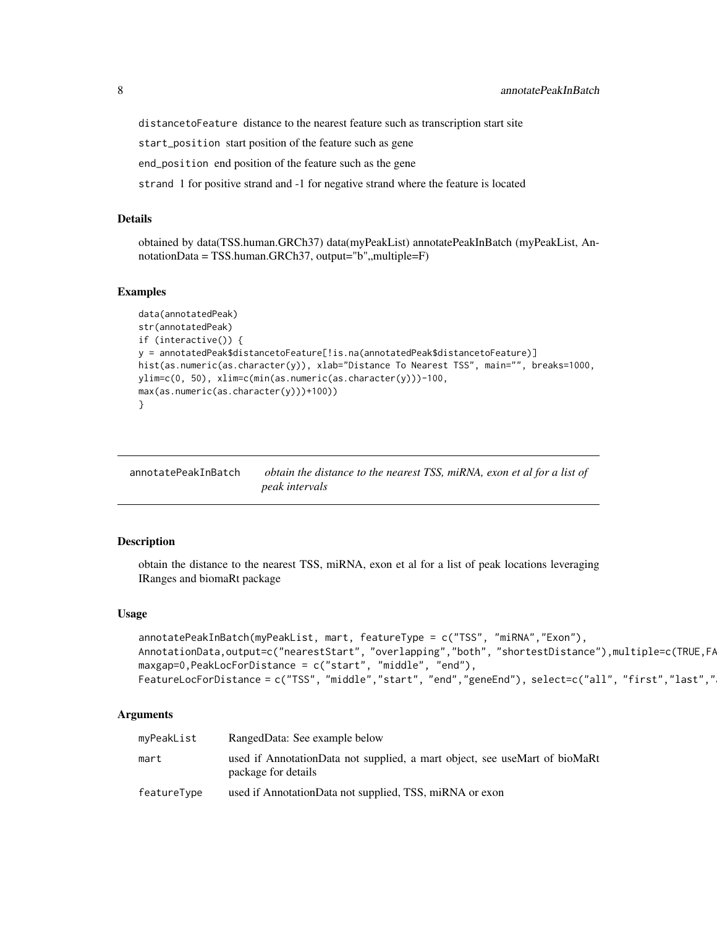<span id="page-7-0"></span>distancetoFeature distance to the nearest feature such as transcription start site

start\_position start position of the feature such as gene

end\_position end position of the feature such as the gene

strand 1 for positive strand and -1 for negative strand where the feature is located

#### Details

obtained by data(TSS.human.GRCh37) data(myPeakList) annotatePeakInBatch (myPeakList, An $notationData = TSS.human.GRCh37, output="b", multiple=F)$ 

#### Examples

```
data(annotatedPeak)
str(annotatedPeak)
if (interactive()) {
y = annotatedPeak$distancetoFeature[!is.na(annotatedPeak$distancetoFeature)]
hist(as.numeric(as.character(y)), xlab="Distance To Nearest TSS", main="", breaks=1000,
ylim=c(0, 50), xlim=c(min(as.numeric(as.character(y)))-100,
max(as.numeric(as.character(y)))+100))
}
```
annotatePeakInBatch *obtain the distance to the nearest TSS, miRNA, exon et al for a list of peak intervals*

### Description

obtain the distance to the nearest TSS, miRNA, exon et al for a list of peak locations leveraging IRanges and biomaRt package

#### Usage

```
annotatePeakInBatch(myPeakList, mart, featureType = c("TSS", "miRNA","Exon"),
AnnotationData,output=c("nearestStart", "overlapping","both", "shortestDistance"),multiple=c(TRUE,FA
maxgap=0,PeakLocForDistance = c("start", "middle", "end"),
FeatureLocForDistance = c("TSS", "middle","start", "end","geneEnd"), select=c("all", "first","last","
```
### Arguments

| myPeakList  | RangedData: See example below                                                                     |
|-------------|---------------------------------------------------------------------------------------------------|
| mart        | used if AnnotationData not supplied, a mart object, see useMart of bioMaRt<br>package for details |
| featureType | used if AnnotationData not supplied, TSS, miRNA or exon                                           |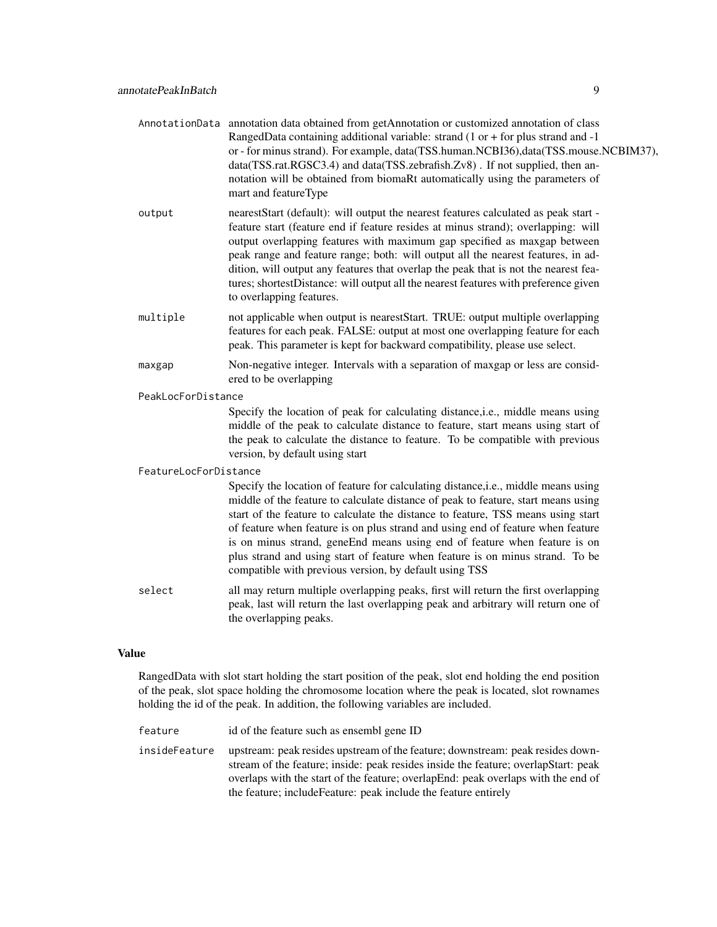- AnnotationData annotation data obtained from getAnnotation or customized annotation of class RangedData containing additional variable: strand (1 or + for plus strand and -1 or - for minus strand). For example, data(TSS.human.NCBI36),data(TSS.mouse.NCBIM37), data(TSS.rat.RGSC3.4) and data(TSS.zebrafish.Zv8) . If not supplied, then annotation will be obtained from biomaRt automatically using the parameters of mart and featureType
- output nearestStart (default): will output the nearest features calculated as peak start feature start (feature end if feature resides at minus strand); overlapping: will output overlapping features with maximum gap specified as maxgap between peak range and feature range; both: will output all the nearest features, in addition, will output any features that overlap the peak that is not the nearest features; shortestDistance: will output all the nearest features with preference given to overlapping features.
- multiple not applicable when output is nearestStart. TRUE: output multiple overlapping features for each peak. FALSE: output at most one overlapping feature for each peak. This parameter is kept for backward compatibility, please use select.
- maxgap Non-negative integer. Intervals with a separation of maxgap or less are considered to be overlapping

#### PeakLocForDistance

Specify the location of peak for calculating distance,i.e., middle means using middle of the peak to calculate distance to feature, start means using start of the peak to calculate the distance to feature. To be compatible with previous version, by default using start

#### FeatureLocForDistance

Specify the location of feature for calculating distance, i.e., middle means using middle of the feature to calculate distance of peak to feature, start means using start of the feature to calculate the distance to feature, TSS means using start of feature when feature is on plus strand and using end of feature when feature is on minus strand, geneEnd means using end of feature when feature is on plus strand and using start of feature when feature is on minus strand. To be compatible with previous version, by default using TSS

select all may return multiple overlapping peaks, first will return the first overlapping peak, last will return the last overlapping peak and arbitrary will return one of the overlapping peaks.

#### Value

RangedData with slot start holding the start position of the peak, slot end holding the end position of the peak, slot space holding the chromosome location where the peak is located, slot rownames holding the id of the peak. In addition, the following variables are included.

- feature id of the feature such as ensembl gene ID
- insideFeature upstream: peak resides upstream of the feature; downstream: peak resides downstream of the feature; inside: peak resides inside the feature; overlapStart: peak overlaps with the start of the feature; overlapEnd: peak overlaps with the end of the feature; includeFeature: peak include the feature entirely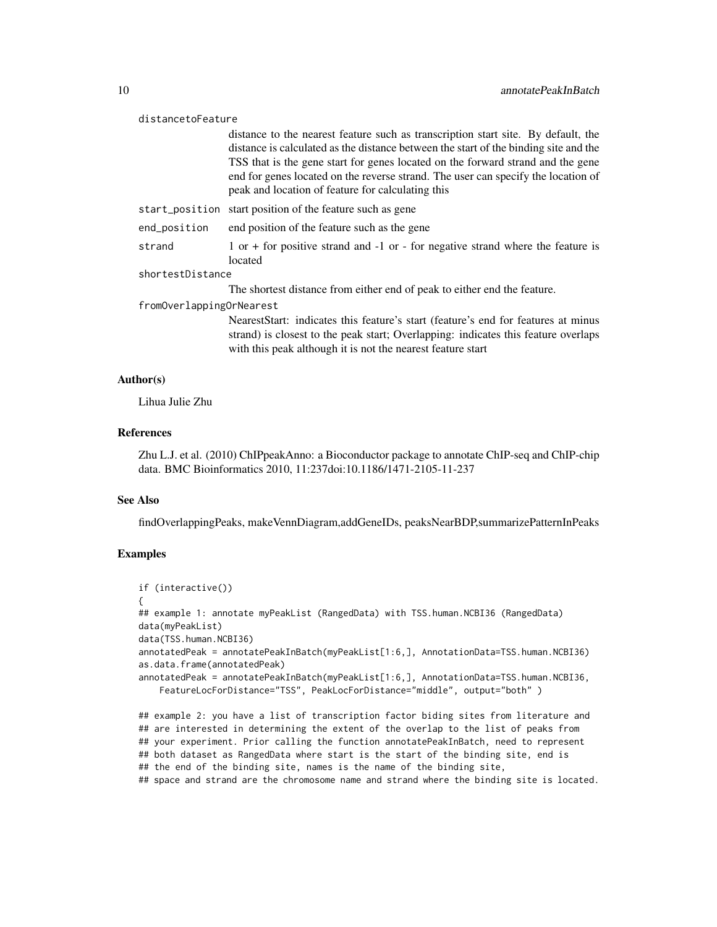#### distancetoFeature

distance to the nearest feature such as transcription start site. By default, the distance is calculated as the distance between the start of the binding site and the TSS that is the gene start for genes located on the forward strand and the gene end for genes located on the reverse strand. The user can specify the location of peak and location of feature for calculating this

- start\_position start position of the feature such as gene
- end\_position end position of the feature such as the gene

strand 1 or + for positive strand and  $-1$  or  $-$  for negative strand where the feature is located

#### shortestDistance

The shortest distance from either end of peak to either end the feature.

#### fromOverlappingOrNearest

NearestStart: indicates this feature's start (feature's end for features at minus strand) is closest to the peak start; Overlapping: indicates this feature overlaps with this peak although it is not the nearest feature start

#### Author(s)

Lihua Julie Zhu

### References

Zhu L.J. et al. (2010) ChIPpeakAnno: a Bioconductor package to annotate ChIP-seq and ChIP-chip data. BMC Bioinformatics 2010, 11:237doi:10.1186/1471-2105-11-237

#### See Also

findOverlappingPeaks, makeVennDiagram,addGeneIDs, peaksNearBDP,summarizePatternInPeaks

### Examples

```
if (interactive())
{
## example 1: annotate myPeakList (RangedData) with TSS.human.NCBI36 (RangedData)
data(myPeakList)
data(TSS.human.NCBI36)
annotatedPeak = annotatePeakInBatch(myPeakList[1:6,], AnnotationData=TSS.human.NCBI36)
as.data.frame(annotatedPeak)
annotatedPeak = annotatePeakInBatch(myPeakList[1:6,], AnnotationData=TSS.human.NCBI36,
    FeatureLocForDistance="TSS", PeakLocForDistance="middle", output="both" )
## example 2: you have a list of transcription factor biding sites from literature and
## are interested in determining the extent of the overlap to the list of peaks from
## your experiment. Prior calling the function annotatePeakInBatch, need to represent
```
## both dataset as RangedData where start is the start of the binding site, end is

```
## the end of the binding site, names is the name of the binding site,
```
## space and strand are the chromosome name and strand where the binding site is located.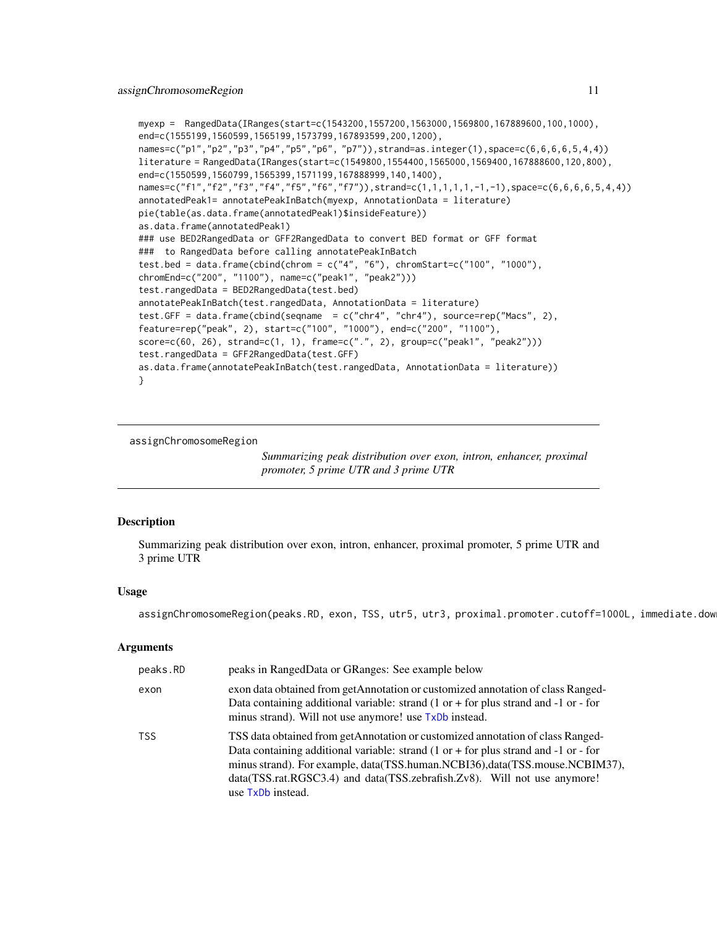```
myexp = RangedData(IRanges(start=c(1543200,1557200,1563000,1569800,167889600,100,1000),
end=c(1555199,1560599,1565199,1573799,167893599,200,1200),
names=c("p1","p2","p3","p4","p5","p6", "p7")),strand=as.integer(1),space=c(6,6,6,6,5,4,4))
literature = RangedData(IRanges(start=c(1549800,1554400,1565000,1569400,167888600,120,800),
end=c(1550599,1560799,1565399,1571199,167888999,140,1400),
names=c("f1","f2","f3","f4","f5","f6","f7")),strand=c(1,1,1,1,1,-1,-1),space=c(6,6,6,6,5,4,4))
annotatedPeak1= annotatePeakInBatch(myexp, AnnotationData = literature)
pie(table(as.data.frame(annotatedPeak1)$insideFeature))
as.data.frame(annotatedPeak1)
### use BED2RangedData or GFF2RangedData to convert BED format or GFF format
### to RangedData before calling annotatePeakInBatch
test.bed = data.frame(cbind(chrom = c("4", "6"), chromStart=c("100", "1000"),
chromEnd=c("200", "1100"), name=c("peak1", "peak2")))
test.rangedData = BED2RangedData(test.bed)
annotatePeakInBatch(test.rangedData, AnnotationData = literature)
test.GFF = data.frame(cbind(seqname = c("chr4", "chr4"), source=rep("Macs", 2),
feature=rep("peak", 2), start=c("100", "1000"), end=c("200", "1100"),
score=c(60, 26), strand=c(1, 1), frame=c(".", 2), group=c("peak1", "peak2")))
test.rangedData = GFF2RangedData(test.GFF)
as.data.frame(annotatePeakInBatch(test.rangedData, AnnotationData = literature))
}
```
assignChromosomeRegion

*Summarizing peak distribution over exon, intron, enhancer, proximal promoter, 5 prime UTR and 3 prime UTR*

### **Description**

Summarizing peak distribution over exon, intron, enhancer, proximal promoter, 5 prime UTR and 3 prime UTR

#### Usage

assignChromosomeRegion(peaks.RD, exon, TSS, utr5, utr3, proximal.promoter.cutoff=1000L, immediate.dow

#### Arguments

| peaks.RD   | peaks in RangedData or GRanges: See example below                                                                                                                                                                                                                                                                                                                           |
|------------|-----------------------------------------------------------------------------------------------------------------------------------------------------------------------------------------------------------------------------------------------------------------------------------------------------------------------------------------------------------------------------|
| exon       | exon data obtained from getAnnotation or customized annotation of class Ranged-<br>Data containing additional variable: strand $(1 \text{ or } +$ for plus strand and $-1 \text{ or } -$ for<br>minus strand). Will not use anymore! use TxDb instead.                                                                                                                      |
| <b>TSS</b> | TSS data obtained from getAnnotation or customized annotation of class Ranged-<br>Data containing additional variable: strand $(1 \text{ or } +$ for plus strand and $-1 \text{ or } -$ for<br>minus strand). For example, data(TSS.human.NCBI36),data(TSS.mouse.NCBIM37),<br>data(TSS.rat.RGSC3.4) and data(TSS.zebrafish.Zv8). Will not use anymore!<br>use TxDb instead. |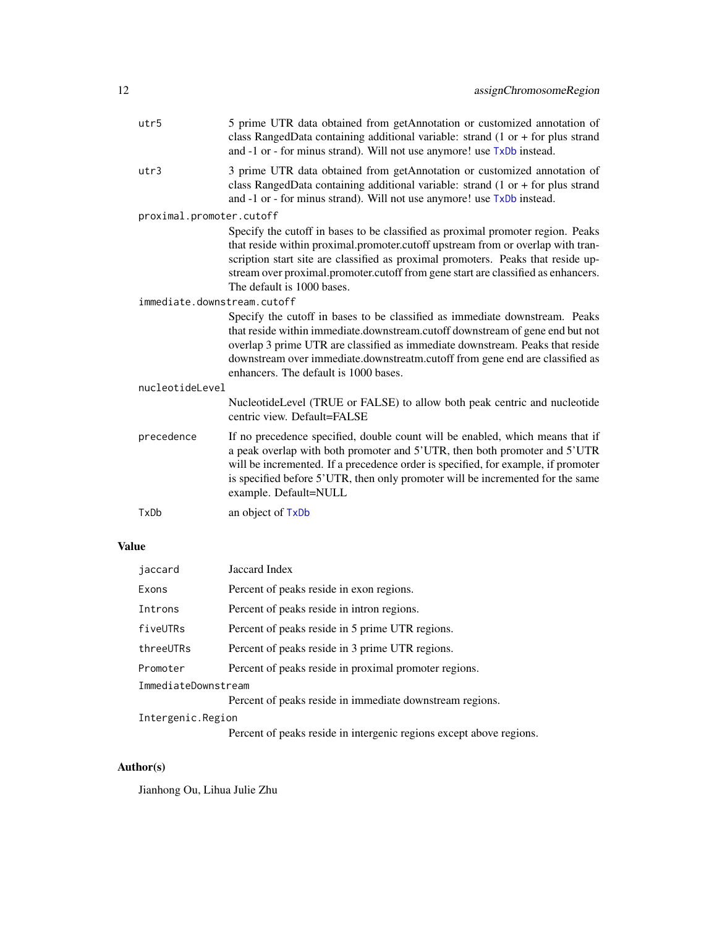| utr5                        | 5 prime UTR data obtained from getAnnotation or customized annotation of<br>class RangedData containing additional variable: strand $(1$ or $+$ for plus strand<br>and -1 or - for minus strand). Will not use anymore! use TxDb instead.                                                                                                                                 |
|-----------------------------|---------------------------------------------------------------------------------------------------------------------------------------------------------------------------------------------------------------------------------------------------------------------------------------------------------------------------------------------------------------------------|
| utr3                        | 3 prime UTR data obtained from getAnnotation or customized annotation of<br>class RangedData containing additional variable: strand $(1$ or $+$ for plus strand<br>and -1 or - for minus strand). Will not use anymore! use TxDb instead.                                                                                                                                 |
| proximal.promoter.cutoff    |                                                                                                                                                                                                                                                                                                                                                                           |
|                             | Specify the cutoff in bases to be classified as proximal promoter region. Peaks<br>that reside within proximal.promoter.cutoff upstream from or overlap with tran-<br>scription start site are classified as proximal promoters. Peaks that reside up-<br>stream over proximal.promoter.cutoff from gene start are classified as enhancers.<br>The default is 1000 bases. |
| immediate.downstream.cutoff |                                                                                                                                                                                                                                                                                                                                                                           |
|                             | Specify the cutoff in bases to be classified as immediate downstream. Peaks<br>that reside within immediate.downstream.cutoff downstream of gene end but not<br>overlap 3 prime UTR are classified as immediate downstream. Peaks that reside<br>downstream over immediate.downstreatm.cutoff from gene end are classified as<br>enhancers. The default is 1000 bases.    |
| nucleotideLevel             |                                                                                                                                                                                                                                                                                                                                                                           |
|                             | NucleotideLevel (TRUE or FALSE) to allow both peak centric and nucleotide<br>centric view. Default=FALSE                                                                                                                                                                                                                                                                  |
| precedence                  | If no precedence specified, double count will be enabled, which means that if<br>a peak overlap with both promoter and 5'UTR, then both promoter and 5'UTR<br>will be incremented. If a precedence order is specified, for example, if promoter<br>is specified before 5'UTR, then only promoter will be incremented for the same<br>example. Default=NULL                |
| TxDb                        | an object of TxDb                                                                                                                                                                                                                                                                                                                                                         |
|                             |                                                                                                                                                                                                                                                                                                                                                                           |

### Value

| jaccard             | Jaccard Index                                            |  |
|---------------------|----------------------------------------------------------|--|
| Exons               | Percent of peaks reside in exon regions.                 |  |
| Introns             | Percent of peaks reside in intron regions.               |  |
| fiveUTRs            | Percent of peaks reside in 5 prime UTR regions.          |  |
| threeUTRs           | Percent of peaks reside in 3 prime UTR regions.          |  |
| Promoter            | Percent of peaks reside in proximal promoter regions.    |  |
| ImmediateDownstream |                                                          |  |
|                     | Percent of peaks reside in immediate downstream regions. |  |
| Intergenic.Region   |                                                          |  |

Percent of peaks reside in intergenic regions except above regions.

### Author(s)

Jianhong Ou, Lihua Julie Zhu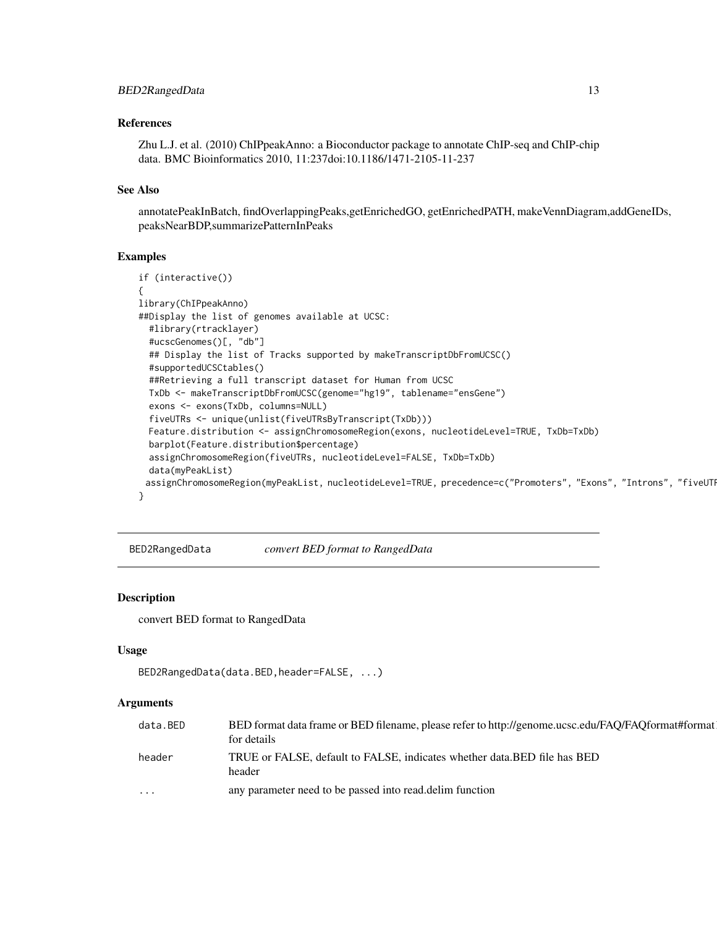#### <span id="page-12-0"></span>References

Zhu L.J. et al. (2010) ChIPpeakAnno: a Bioconductor package to annotate ChIP-seq and ChIP-chip data. BMC Bioinformatics 2010, 11:237doi:10.1186/1471-2105-11-237

#### See Also

annotatePeakInBatch, findOverlappingPeaks,getEnrichedGO, getEnrichedPATH, makeVennDiagram,addGeneIDs, peaksNearBDP,summarizePatternInPeaks

### Examples

```
if (interactive())
{
library(ChIPpeakAnno)
##Display the list of genomes available at UCSC:
 #library(rtracklayer)
 #ucscGenomes()[, "db"]
 ## Display the list of Tracks supported by makeTranscriptDbFromUCSC()
 #supportedUCSCtables()
 ##Retrieving a full transcript dataset for Human from UCSC
 TxDb <- makeTranscriptDbFromUCSC(genome="hg19", tablename="ensGene")
 exons <- exons(TxDb, columns=NULL)
 fiveUTRs <- unique(unlist(fiveUTRsByTranscript(TxDb)))
 Feature.distribution <- assignChromosomeRegion(exons, nucleotideLevel=TRUE, TxDb=TxDb)
 barplot(Feature.distribution$percentage)
 assignChromosomeRegion(fiveUTRs, nucleotideLevel=FALSE, TxDb=TxDb)
 data(myPeakList)
 assignChromosomeRegion(myPeakList, nucleotideLevel=TRUE, precedence=c("Promoters", "Exons", "Introns", "fiveUTI
}
```
BED2RangedData *convert BED format to RangedData*

### **Description**

convert BED format to RangedData

### Usage

```
BED2RangedData(data.BED,header=FALSE, ...)
```
#### **Arguments**

| data.BED | BED format data frame or BED filename, please refer to http://genome.ucsc.edu/FAO/FAOformat#format<br>for details |
|----------|-------------------------------------------------------------------------------------------------------------------|
| header   | TRUE or FALSE, default to FALSE, indicates whether data. BED file has BED<br>header                               |
| $\cdots$ | any parameter need to be passed into read. delim function                                                         |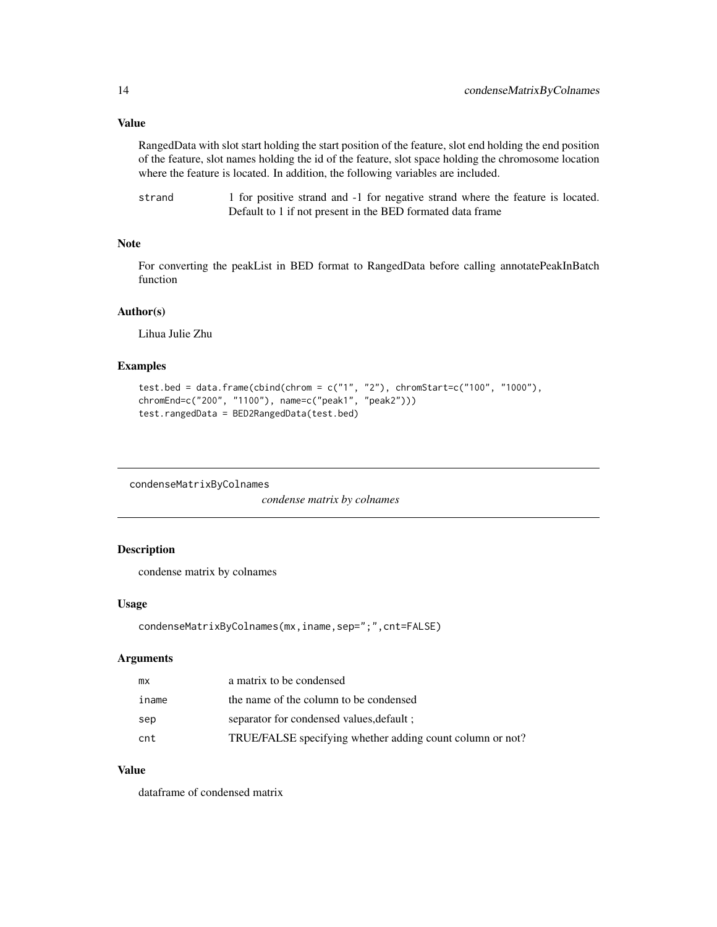### <span id="page-13-0"></span>Value

RangedData with slot start holding the start position of the feature, slot end holding the end position of the feature, slot names holding the id of the feature, slot space holding the chromosome location where the feature is located. In addition, the following variables are included.

| strand | 1 for positive strand and -1 for negative strand where the feature is located. |
|--------|--------------------------------------------------------------------------------|
|        | Default to 1 if not present in the BED formated data frame                     |

### Note

For converting the peakList in BED format to RangedData before calling annotatePeakInBatch function

#### Author(s)

Lihua Julie Zhu

### Examples

```
test.bed = data.frame(cbind(chrom = c("1", "2"), chromStart=c("100", "1000"),
chromEnd=c("200", "1100"), name=c("peak1", "peak2")))
test.rangedData = BED2RangedData(test.bed)
```
condenseMatrixByColnames

*condense matrix by colnames*

### Description

condense matrix by colnames

### Usage

```
condenseMatrixByColnames(mx,iname,sep=";",cnt=FALSE)
```
### Arguments

| mx    | a matrix to be condensed                                  |
|-------|-----------------------------------------------------------|
| iname | the name of the column to be condensed                    |
| sep   | separator for condensed values, default :                 |
| cnt   | TRUE/FALSE specifying whether adding count column or not? |

### Value

dataframe of condensed matrix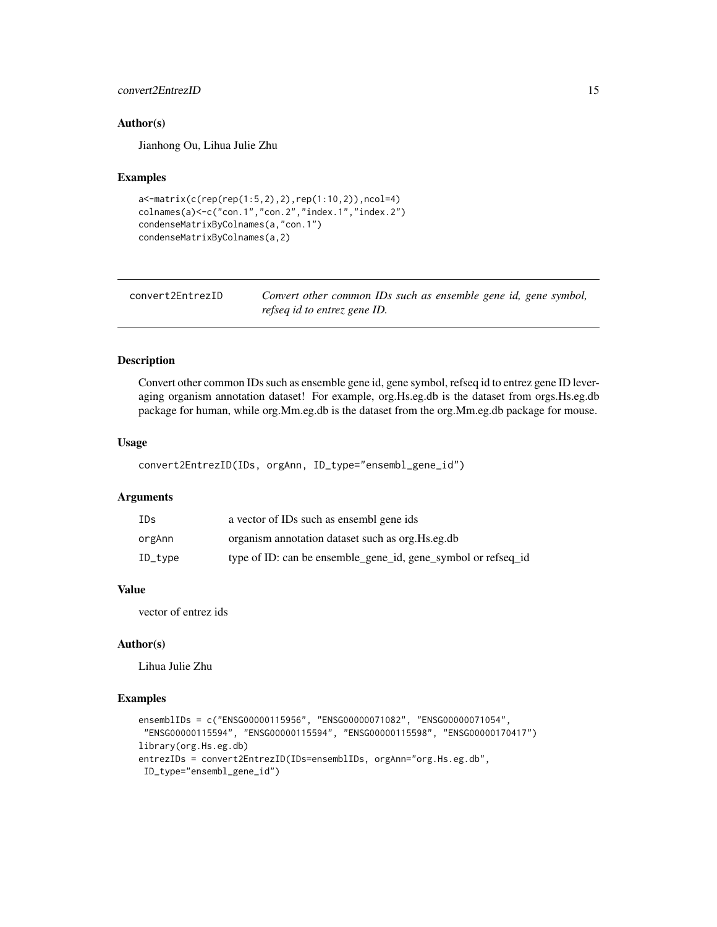### <span id="page-14-0"></span>convert2EntrezID 15

#### Author(s)

Jianhong Ou, Lihua Julie Zhu

#### Examples

```
a<-matrix(c(rep(rep(1:5,2),2),rep(1:10,2)),ncol=4)
colnames(a)<-c("con.1","con.2","index.1","index.2")
condenseMatrixByColnames(a,"con.1")
condenseMatrixByColnames(a,2)
```

| convert2EntrezID | Convert other common IDs such as ensemble gene id, gene symbol, |
|------------------|-----------------------------------------------------------------|
|                  | refseq id to entrez gene ID.                                    |

### Description

Convert other common IDs such as ensemble gene id, gene symbol, refseq id to entrez gene ID leveraging organism annotation dataset! For example, org.Hs.eg.db is the dataset from orgs.Hs.eg.db package for human, while org.Mm.eg.db is the dataset from the org.Mm.eg.db package for mouse.

### Usage

```
convert2EntrezID(IDs, orgAnn, ID_type="ensembl_gene_id")
```
#### Arguments

| IDs                 | a vector of IDs such as ensembl gene ids                      |
|---------------------|---------------------------------------------------------------|
| orgAnn              | organism annotation dataset such as org. Hs.eg.db             |
| $ID_{\text{-}type}$ | type of ID: can be ensemble_gene_id, gene_symbol or refseq_id |

#### Value

vector of entrez ids

### Author(s)

Lihua Julie Zhu

```
ensemblIDs = c("ENSG00000115956", "ENSG00000071082", "ENSG00000071054",
"ENSG00000115594", "ENSG00000115594", "ENSG00000115598", "ENSG00000170417")
library(org.Hs.eg.db)
entrezIDs = convert2EntrezID(IDs=ensemblIDs, orgAnn="org.Hs.eg.db",
ID_type="ensembl_gene_id")
```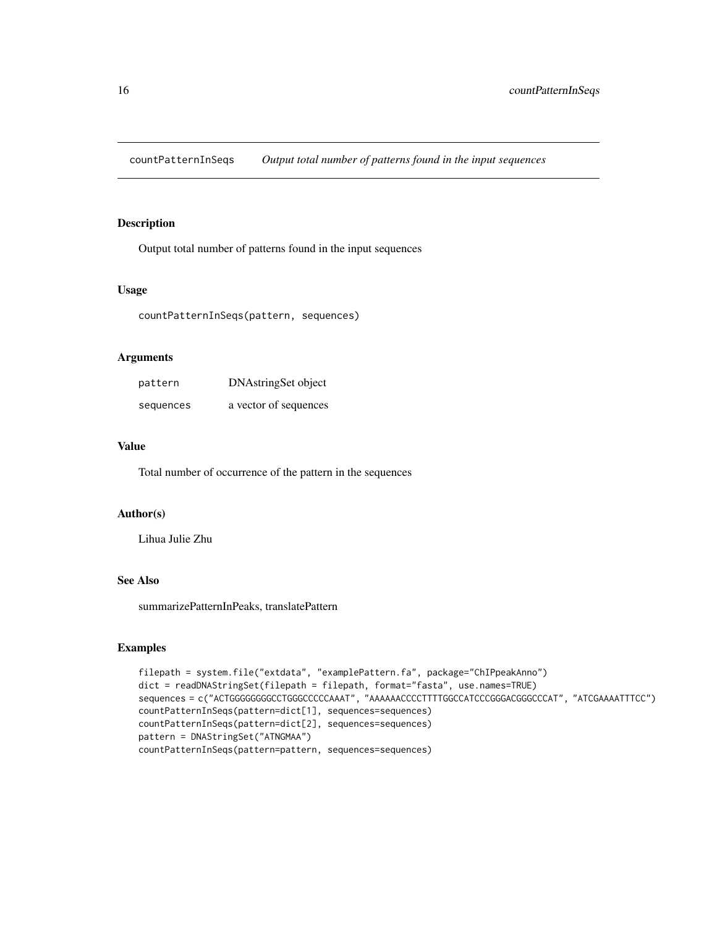<span id="page-15-0"></span>countPatternInSeqs *Output total number of patterns found in the input sequences*

#### Description

Output total number of patterns found in the input sequences

#### Usage

countPatternInSeqs(pattern, sequences)

### Arguments

| pattern   | DNAstringSet object   |
|-----------|-----------------------|
| sequences | a vector of sequences |

### Value

Total number of occurrence of the pattern in the sequences

### Author(s)

Lihua Julie Zhu

### See Also

summarizePatternInPeaks, translatePattern

```
filepath = system.file("extdata", "examplePattern.fa", package="ChIPpeakAnno")
dict = readDNAStringSet(filepath = filepath, format="fasta", use.names=TRUE)
sequences = c("ACTGGGGGGGGCCTGGGCCCCCAAAT", "AAAAAACCCCTTTTGGCCATCCCGGGACGGGCCCAT", "ATCGAAAATTTCC")
countPatternInSeqs(pattern=dict[1], sequences=sequences)
countPatternInSeqs(pattern=dict[2], sequences=sequences)
pattern = DNAStringSet("ATNGMAA")
countPatternInSeqs(pattern=pattern, sequences=sequences)
```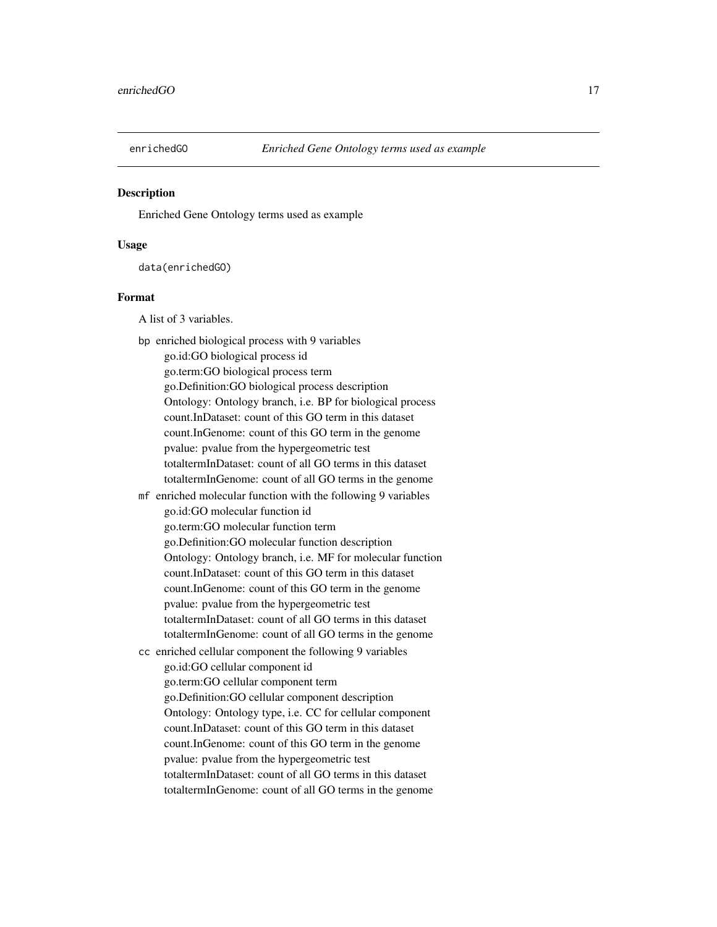<span id="page-16-0"></span>

### Description

Enriched Gene Ontology terms used as example

### Usage

data(enrichedGO)

### Format

A list of 3 variables.

bp enriched biological process with 9 variables go.id:GO biological process id go.term:GO biological process term go.Definition:GO biological process description Ontology: Ontology branch, i.e. BP for biological process count.InDataset: count of this GO term in this dataset count.InGenome: count of this GO term in the genome pvalue: pvalue from the hypergeometric test totaltermInDataset: count of all GO terms in this dataset totaltermInGenome: count of all GO terms in the genome mf enriched molecular function with the following 9 variables go.id:GO molecular function id go.term:GO molecular function term go.Definition:GO molecular function description Ontology: Ontology branch, i.e. MF for molecular function count.InDataset: count of this GO term in this dataset count.InGenome: count of this GO term in the genome pvalue: pvalue from the hypergeometric test totaltermInDataset: count of all GO terms in this dataset totaltermInGenome: count of all GO terms in the genome cc enriched cellular component the following 9 variables go.id:GO cellular component id go.term:GO cellular component term go.Definition:GO cellular component description Ontology: Ontology type, i.e. CC for cellular component count.InDataset: count of this GO term in this dataset count.InGenome: count of this GO term in the genome pvalue: pvalue from the hypergeometric test totaltermInDataset: count of all GO terms in this dataset totaltermInGenome: count of all GO terms in the genome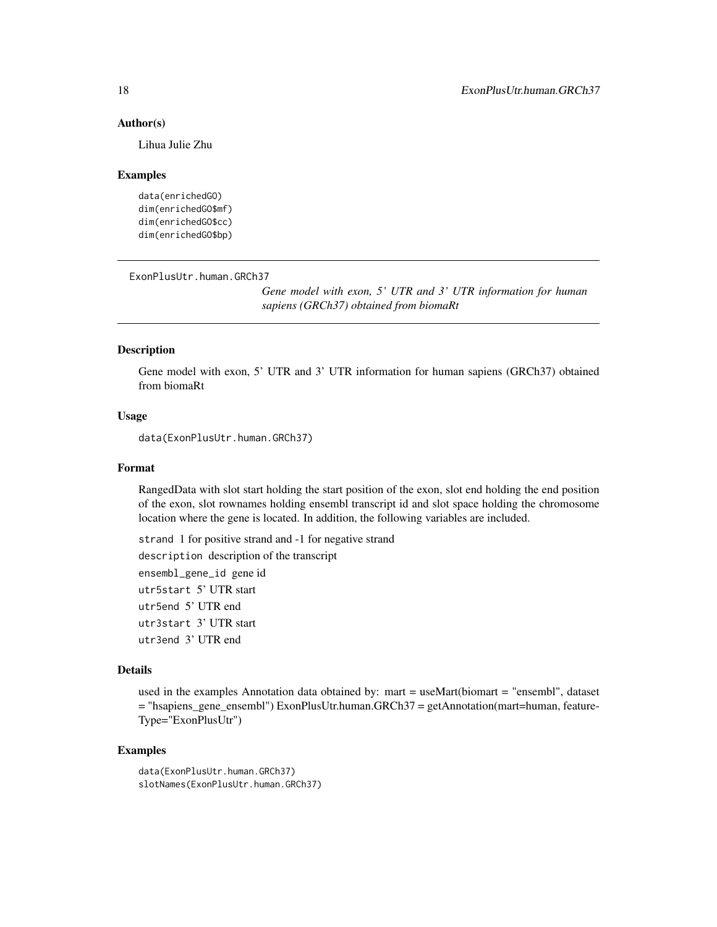#### Author(s)

Lihua Julie Zhu

#### Examples

```
data(enrichedGO)
dim(enrichedGO$mf)
dim(enrichedGO$cc)
dim(enrichedGO$bp)
```
ExonPlusUtr.human.GRCh37

*Gene model with exon, 5' UTR and 3' UTR information for human sapiens (GRCh37) obtained from biomaRt*

#### Description

Gene model with exon, 5' UTR and 3' UTR information for human sapiens (GRCh37) obtained from biomaRt

#### Usage

data(ExonPlusUtr.human.GRCh37)

#### Format

RangedData with slot start holding the start position of the exon, slot end holding the end position of the exon, slot rownames holding ensembl transcript id and slot space holding the chromosome location where the gene is located. In addition, the following variables are included.

strand 1 for positive strand and -1 for negative strand description description of the transcript ensembl\_gene\_id gene id utr5start 5' UTR start utr5end 5' UTR end utr3start 3' UTR start utr3end 3' UTR end

#### Details

used in the examples Annotation data obtained by: mart = useMart(biomart = "ensembl", dataset = "hsapiens\_gene\_ensembl") ExonPlusUtr.human.GRCh37 = getAnnotation(mart=human, feature-Type="ExonPlusUtr")

```
data(ExonPlusUtr.human.GRCh37)
slotNames(ExonPlusUtr.human.GRCh37)
```
<span id="page-17-0"></span>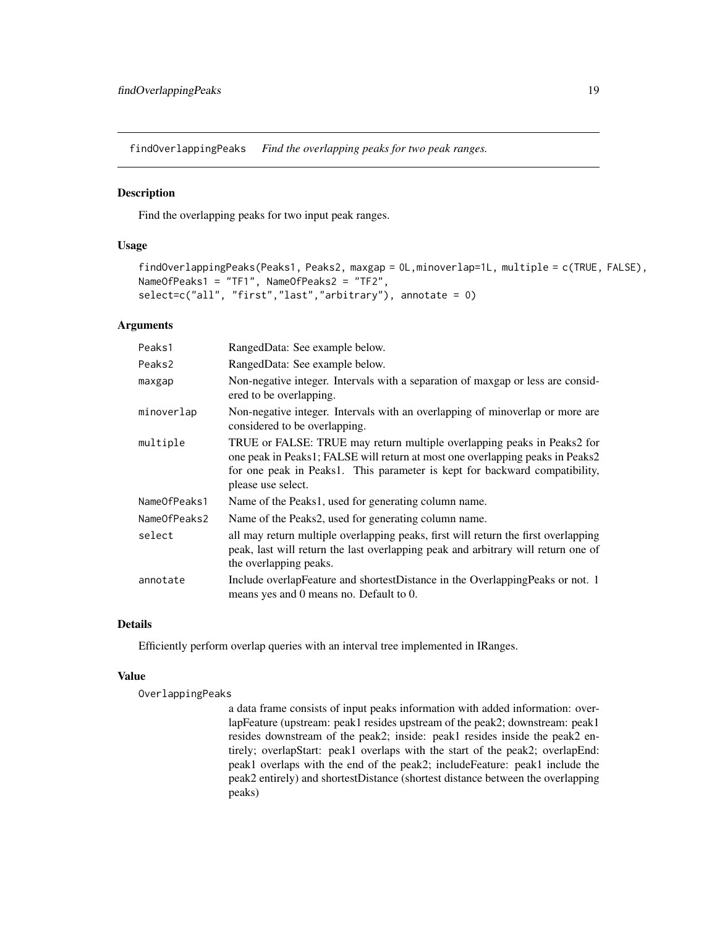<span id="page-18-1"></span><span id="page-18-0"></span>findOverlappingPeaks *Find the overlapping peaks for two peak ranges.*

### Description

Find the overlapping peaks for two input peak ranges.

### Usage

```
findOverlappingPeaks(Peaks1, Peaks2, maxgap = 0L,minoverlap=1L, multiple = c(TRUE, FALSE),
NameOfPeaks1 = "TF1", NameOfPeaks2 = "TF2",
select=c("all", "first","last","arbitrary"), annotate = 0)
```
#### Arguments

| Peaks1       | RangedData: See example below.                                                                                                                                                                                                                               |
|--------------|--------------------------------------------------------------------------------------------------------------------------------------------------------------------------------------------------------------------------------------------------------------|
| Peaks2       | RangedData: See example below.                                                                                                                                                                                                                               |
| maxgap       | Non-negative integer. Intervals with a separation of maxgap or less are consid-<br>ered to be overlapping.                                                                                                                                                   |
| minoverlap   | Non-negative integer. Intervals with an overlapping of minoverlap or more are<br>considered to be overlapping.                                                                                                                                               |
| multiple     | TRUE or FALSE: TRUE may return multiple overlapping peaks in Peaks2 for<br>one peak in Peaks1; FALSE will return at most one overlapping peaks in Peaks2<br>for one peak in Peaks1. This parameter is kept for backward compatibility,<br>please use select. |
| NameOfPeaks1 | Name of the Peaks1, used for generating column name.                                                                                                                                                                                                         |
| NameOfPeaks2 | Name of the Peaks2, used for generating column name.                                                                                                                                                                                                         |
| select       | all may return multiple overlapping peaks, first will return the first overlapping<br>peak, last will return the last overlapping peak and arbitrary will return one of<br>the overlapping peaks.                                                            |
| annotate     | Include overlapFeature and shortestDistance in the OverlappingPeaks or not. 1<br>means yes and 0 means no. Default to 0.                                                                                                                                     |

### Details

Efficiently perform overlap queries with an interval tree implemented in IRanges.

### Value

OverlappingPeaks

a data frame consists of input peaks information with added information: overlapFeature (upstream: peak1 resides upstream of the peak2; downstream: peak1 resides downstream of the peak2; inside: peak1 resides inside the peak2 entirely; overlapStart: peak1 overlaps with the start of the peak2; overlapEnd: peak1 overlaps with the end of the peak2; includeFeature: peak1 include the peak2 entirely) and shortestDistance (shortest distance between the overlapping peaks)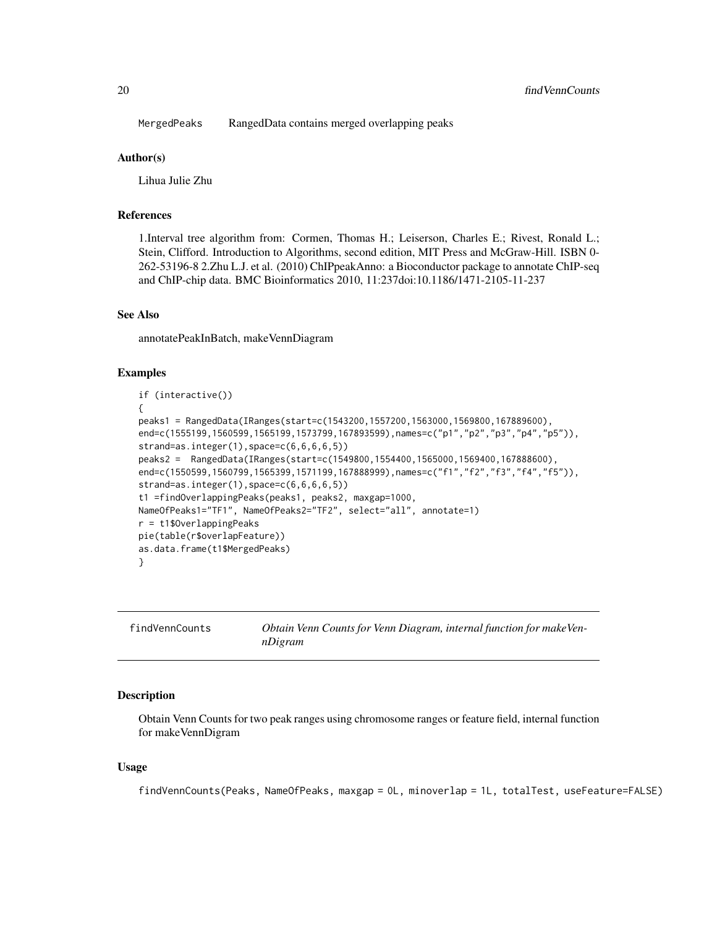<span id="page-19-0"></span>MergedPeaks RangedData contains merged overlapping peaks

#### Author(s)

Lihua Julie Zhu

#### References

1.Interval tree algorithm from: Cormen, Thomas H.; Leiserson, Charles E.; Rivest, Ronald L.; Stein, Clifford. Introduction to Algorithms, second edition, MIT Press and McGraw-Hill. ISBN 0- 262-53196-8 2.Zhu L.J. et al. (2010) ChIPpeakAnno: a Bioconductor package to annotate ChIP-seq and ChIP-chip data. BMC Bioinformatics 2010, 11:237doi:10.1186/1471-2105-11-237

#### See Also

annotatePeakInBatch, makeVennDiagram

### Examples

```
if (interactive())
{
peaks1 = RangedData(IRanges(start=c(1543200,1557200,1563000,1569800,167889600),
end=c(1555199,1560599,1565199,1573799,167893599),names=c("p1","p2","p3","p4","p5")),
strand=as.integer(1),space=c(6,6,6,6,5))
peaks2 = RangedData(IRanges(start=c(1549800,1554400,1565000,1569400,167888600),
end=c(1550599,1560799,1565399,1571199,167888999),names=c("f1","f2","f3","f4","f5")),
strand = as.integer(1), space = c(6, 6, 6, 6, 5)t1 =findOverlappingPeaks(peaks1, peaks2, maxgap=1000,
NameOfPeaks1="TF1", NameOfPeaks2="TF2", select="all", annotate=1)
r = t1$OverlappingPeaks
pie(table(r$overlapFeature))
as.data.frame(t1$MergedPeaks)
}
```

| findVennCounts | Obtain Venn Counts for Venn Diagram, internal function for makeVen- |
|----------------|---------------------------------------------------------------------|
|                | nDigram                                                             |

### Description

Obtain Venn Counts for two peak ranges using chromosome ranges or feature field, internal function for makeVennDigram

#### Usage

findVennCounts(Peaks, NameOfPeaks, maxgap = 0L, minoverlap = 1L, totalTest, useFeature=FALSE)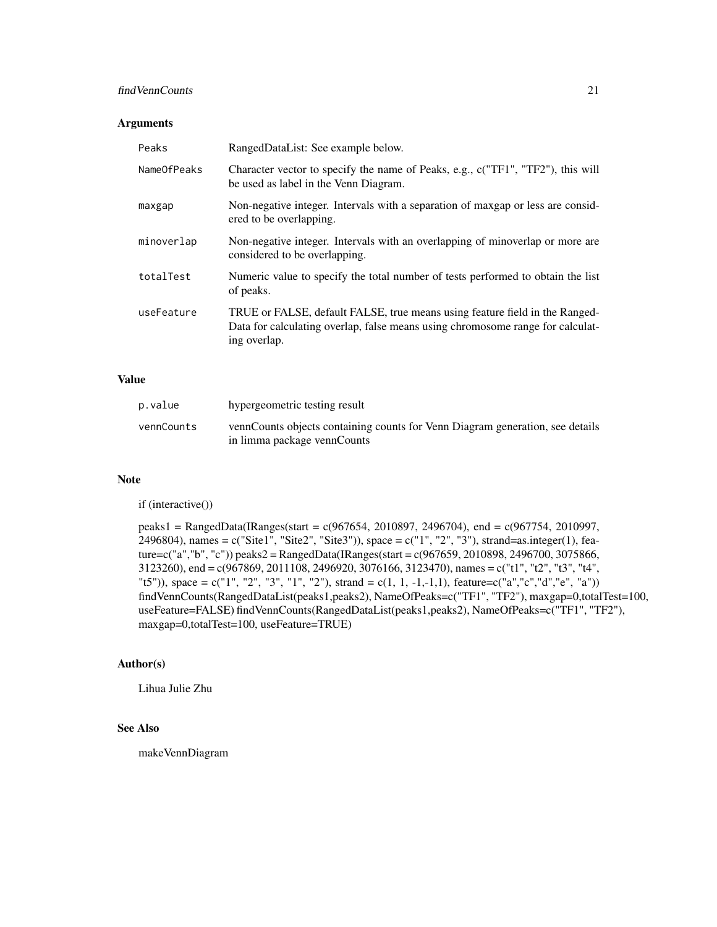### findVennCounts 21

### Arguments

| Peaks       | RangedDataList: See example below.                                                                                                                                            |
|-------------|-------------------------------------------------------------------------------------------------------------------------------------------------------------------------------|
| NameOfPeaks | Character vector to specify the name of Peaks, e.g., c("TF1", "TF2"), this will<br>be used as label in the Venn Diagram.                                                      |
| maxgap      | Non-negative integer. Intervals with a separation of maxgap or less are consider-<br>ered to be overlapping.                                                                  |
| minoverlap  | Non-negative integer. Intervals with an overlapping of minoverlap or more are<br>considered to be overlapping.                                                                |
| totalTest   | Numeric value to specify the total number of tests performed to obtain the list<br>of peaks.                                                                                  |
| useFeature  | TRUE or FALSE, default FALSE, true means using feature field in the Ranged-<br>Data for calculating overlap, false means using chromosome range for calculat-<br>ing overlap. |

### Value

| p.value    | hypergeometric testing result                                                                                |
|------------|--------------------------------------------------------------------------------------------------------------|
| vennCounts | vennCounts objects containing counts for Venn Diagram generation, see details<br>in limma package vennCounts |

### Note

if (interactive())

peaks1 = RangedData(IRanges(start = c(967654, 2010897, 2496704), end = c(967754, 2010997, 2496804), names = c("Site1", "Site2", "Site3")), space = c("1", "2", "3"), strand=as.integer(1), feature=c("a","b", "c")) peaks2 = RangedData(IRanges(start = c(967659, 2010898, 2496700, 3075866, 3123260), end = c(967869, 2011108, 2496920, 3076166, 3123470), names = c("t1", "t2", "t3", "t4", "t5")), space = c("1", "2", "3", "1", "2"), strand = c(1, 1, -1,-1,1), feature=c("a","c","d","e", "a")) findVennCounts(RangedDataList(peaks1,peaks2), NameOfPeaks=c("TF1", "TF2"), maxgap=0,totalTest=100, useFeature=FALSE) findVennCounts(RangedDataList(peaks1,peaks2), NameOfPeaks=c("TF1", "TF2"), maxgap=0,totalTest=100, useFeature=TRUE)

### Author(s)

Lihua Julie Zhu

### See Also

makeVennDiagram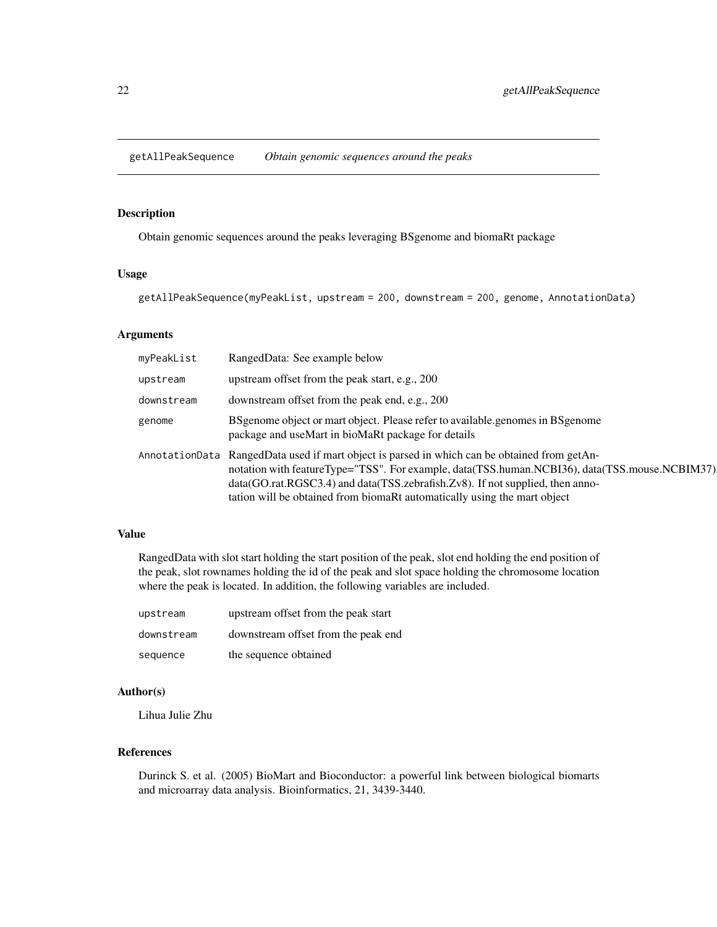<span id="page-21-0"></span>getAllPeakSequence *Obtain genomic sequences around the peaks*

### Description

Obtain genomic sequences around the peaks leveraging BSgenome and biomaRt package

#### Usage

getAllPeakSequence(myPeakList, upstream = 200, downstream = 200, genome, AnnotationData)

### Arguments

| myPeakList | RangedData: See example below                                                                                                                                                                                                                                                                                                                               |
|------------|-------------------------------------------------------------------------------------------------------------------------------------------------------------------------------------------------------------------------------------------------------------------------------------------------------------------------------------------------------------|
| upstream   | upstream offset from the peak start, e.g., 200                                                                                                                                                                                                                                                                                                              |
| downstream | downstream offset from the peak end, e.g., 200                                                                                                                                                                                                                                                                                                              |
| genome     | BS genome object or mart object. Please refer to available genomes in BS genome<br>package and useMart in bioMaRt package for details                                                                                                                                                                                                                       |
|            | AnnotationData RangedData used if mart object is parsed in which can be obtained from getAn-<br>notation with feature Type="TSS". For example, data(TSS.human.NCBI36), data(TSS.mouse.NCBIM37)<br>data(GO.rat.RGSC3.4) and data(TSS.zebrafish.Zv8). If not supplied, then anno-<br>tation will be obtained from biomaRt automatically using the mart object |

### Value

RangedData with slot start holding the start position of the peak, slot end holding the end position of the peak, slot rownames holding the id of the peak and slot space holding the chromosome location where the peak is located. In addition, the following variables are included.

| upstream   | upstream offset from the peak start |
|------------|-------------------------------------|
| downstream | downstream offset from the peak end |
| sequence   | the sequence obtained               |

### Author(s)

Lihua Julie Zhu

### References

Durinck S. et al. (2005) BioMart and Bioconductor: a powerful link between biological biomarts and microarray data analysis. Bioinformatics, 21, 3439-3440.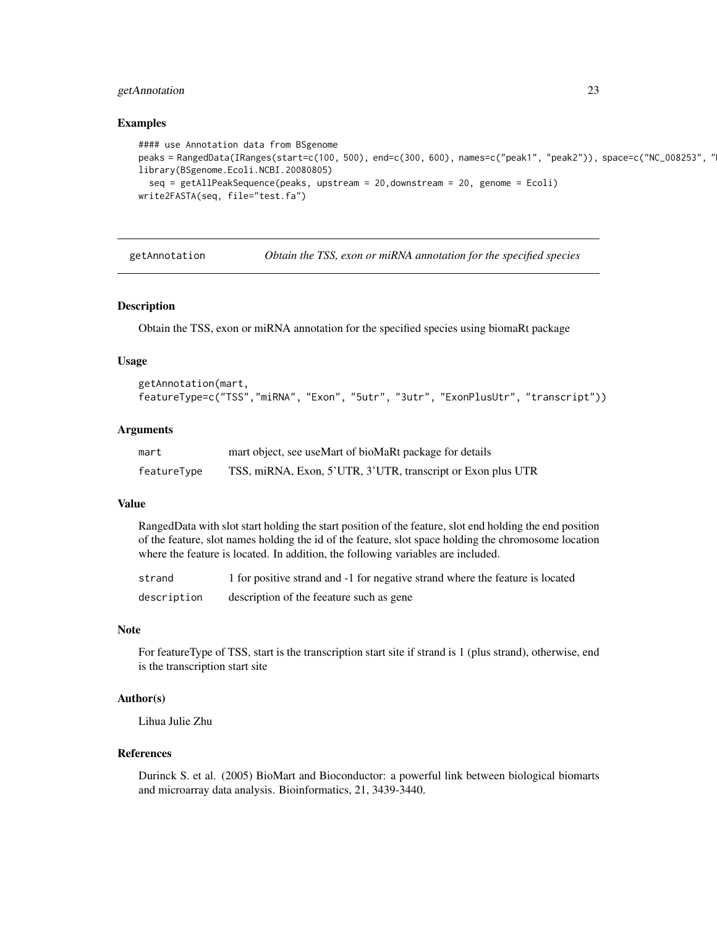### <span id="page-22-0"></span>getAnnotation 23

#### Examples

```
#### use Annotation data from BSgenome
peaks = RangedData(IRanges(start=c(100, 500), end=c(300, 600), names=c("peak1", "peak2")), space=c("NC_008253", "
library(BSgenome.Ecoli.NCBI.20080805)
  seq = getAllPeakSequence(peaks, upstream = 20,downstream = 20, genome = Ecoli)
write2FASTA(seq, file="test.fa")
```
getAnnotation *Obtain the TSS, exon or miRNA annotation for the specified species*

#### Description

Obtain the TSS, exon or miRNA annotation for the specified species using biomaRt package

#### Usage

```
getAnnotation(mart,
featureType=c("TSS","miRNA", "Exon", "5utr", "3utr", "ExonPlusUtr", "transcript"))
```
#### Arguments

| mart        | mart object, see useMart of bioMaRt package for details     |
|-------------|-------------------------------------------------------------|
| featureType | TSS, miRNA, Exon, 5'UTR, 3'UTR, transcript or Exon plus UTR |

#### Value

RangedData with slot start holding the start position of the feature, slot end holding the end position of the feature, slot names holding the id of the feature, slot space holding the chromosome location where the feature is located. In addition, the following variables are included.

| strand      | 1 for positive strand and -1 for negative strand where the feature is located |
|-------------|-------------------------------------------------------------------------------|
| description | description of the feeature such as gene                                      |

#### Note

For featureType of TSS, start is the transcription start site if strand is 1 (plus strand), otherwise, end is the transcription start site

### Author(s)

Lihua Julie Zhu

### References

Durinck S. et al. (2005) BioMart and Bioconductor: a powerful link between biological biomarts and microarray data analysis. Bioinformatics, 21, 3439-3440.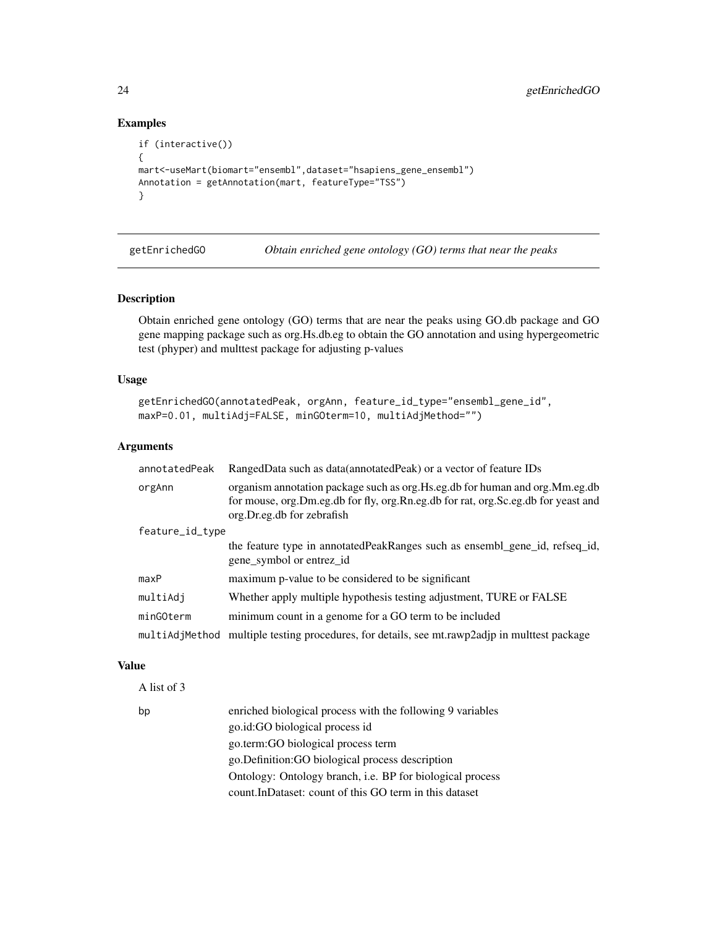### Examples

```
if (interactive())
{
mart<-useMart(biomart="ensembl",dataset="hsapiens_gene_ensembl")
Annotation = getAnnotation(mart, featureType="TSS")
}
```
getEnrichedGO *Obtain enriched gene ontology (GO) terms that near the peaks*

#### Description

Obtain enriched gene ontology (GO) terms that are near the peaks using GO.db package and GO gene mapping package such as org.Hs.db.eg to obtain the GO annotation and using hypergeometric test (phyper) and multtest package for adjusting p-values

### Usage

```
getEnrichedGO(annotatedPeak, orgAnn, feature_id_type="ensembl_gene_id",
maxP=0.01, multiAdj=FALSE, minGOterm=10, multiAdjMethod="")
```
### Arguments

| annotatedPeak   | RangedData such as data(annotatedPeak) or a vector of feature IDs                                                                                                                                |
|-----------------|--------------------------------------------------------------------------------------------------------------------------------------------------------------------------------------------------|
| orgAnn          | organism annotation package such as org. Hs.eg.db for human and org. Mm.eg.db<br>for mouse, org.Dm.eg.db for fly, org.Rn.eg.db for rat, org.Sc.eg.db for yeast and<br>org.Dr.eg.db for zebrafish |
| feature_id_type |                                                                                                                                                                                                  |
|                 | the feature type in annotated Peak Ranges such as ensembl_gene_id, refseq_id,<br>gene_symbol or entrez_id                                                                                        |
| maxP            | maximum p-value to be considered to be significant                                                                                                                                               |
| multiAdj        | Whether apply multiple hypothesis testing adjustment, TURE or FALSE                                                                                                                              |
| minGOterm       | minimum count in a genome for a GO term to be included                                                                                                                                           |
| multiAdjMethod  | multiple testing procedures, for details, see mt.rawp2adjp in multiest package                                                                                                                   |

### Value

A list of 3

```
bp enriched biological process with the following 9 variables
                  go.id:GO biological process id
                  go.term:GO biological process term
                  go.Definition:GO biological process description
                  Ontology: Ontology branch, i.e. BP for biological process
                  count.InDataset: count of this GO term in this dataset
```
<span id="page-23-0"></span>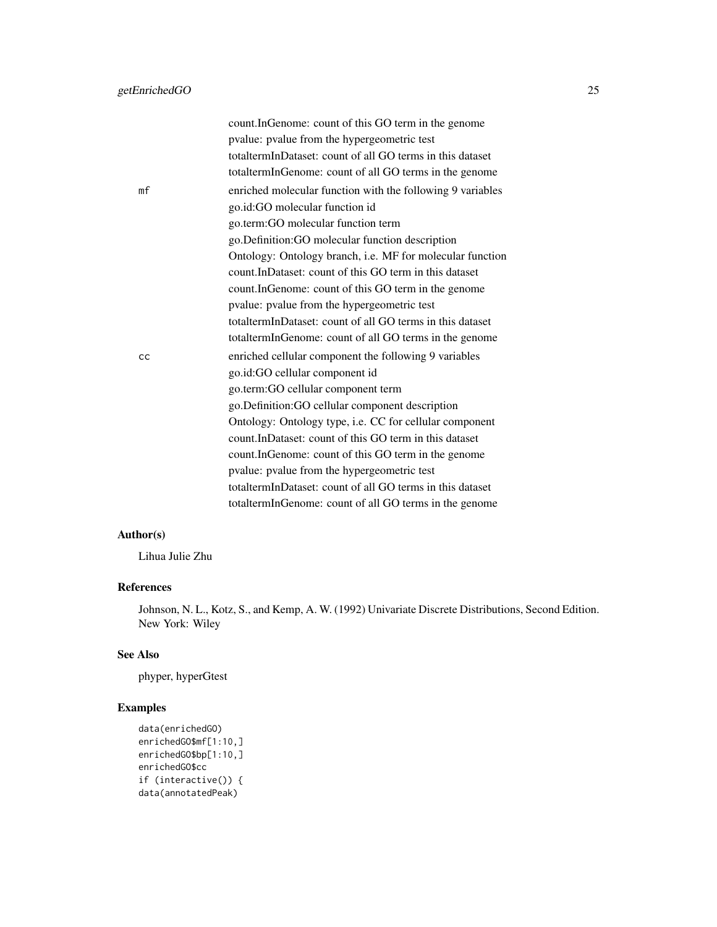|    | count.InGenome: count of this GO term in the genome        |
|----|------------------------------------------------------------|
|    | pvalue: pvalue from the hypergeometric test                |
|    | totaltermInDataset: count of all GO terms in this dataset  |
|    | totaltermInGenome: count of all GO terms in the genome     |
| mf | enriched molecular function with the following 9 variables |
|    | go.id:GO molecular function id                             |
|    | go.term:GO molecular function term                         |
|    | go.Definition:GO molecular function description            |
|    | Ontology: Ontology branch, i.e. MF for molecular function  |
|    | count.InDataset: count of this GO term in this dataset     |
|    | count.InGenome: count of this GO term in the genome        |
|    | pvalue: pvalue from the hypergeometric test                |
|    | totaltermInDataset: count of all GO terms in this dataset  |
|    | totaltermInGenome: count of all GO terms in the genome     |
| cс | enriched cellular component the following 9 variables      |
|    | go.id:GO cellular component id                             |
|    | go.term:GO cellular component term                         |
|    | go.Definition:GO cellular component description            |
|    | Ontology: Ontology type, i.e. CC for cellular component    |
|    | count.InDataset: count of this GO term in this dataset     |
|    | count.InGenome: count of this GO term in the genome        |
|    | pvalue: pvalue from the hypergeometric test                |
|    | totaltermInDataset: count of all GO terms in this dataset  |
|    | totaltermInGenome: count of all GO terms in the genome     |
|    |                                                            |

### Author(s)

Lihua Julie Zhu

### References

Johnson, N. L., Kotz, S., and Kemp, A. W. (1992) Univariate Discrete Distributions, Second Edition. New York: Wiley

### See Also

phyper, hyperGtest

```
data(enrichedGO)
enrichedGO$mf[1:10,]
enrichedGO$bp[1:10,]
enrichedGO$cc
if (interactive()) {
data(annotatedPeak)
```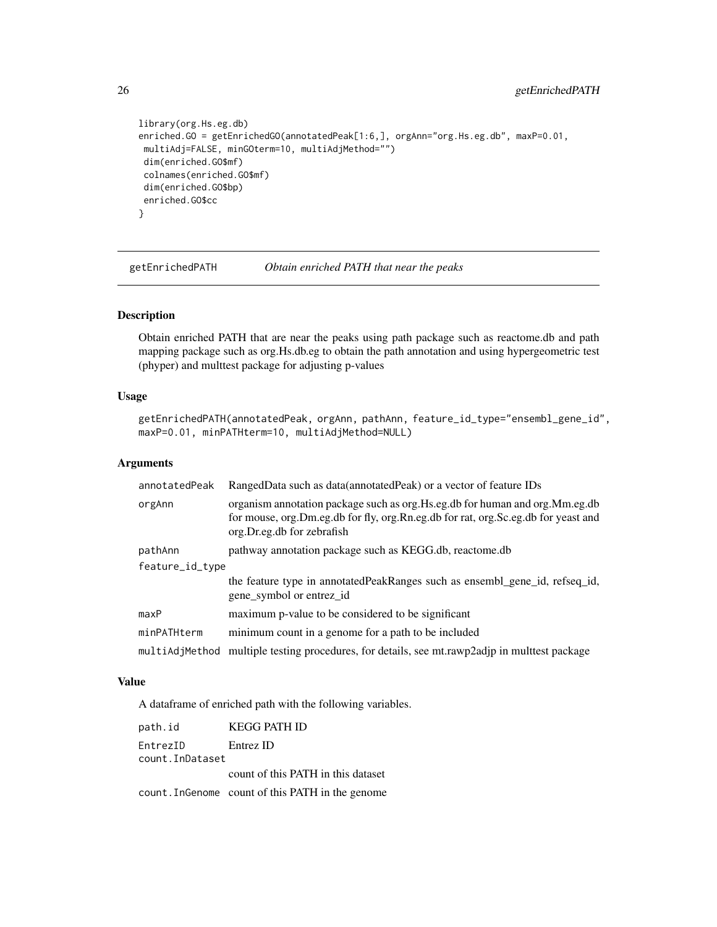```
library(org.Hs.eg.db)
enriched.GO = getEnrichedGO(annotatedPeak[1:6,], orgAnn="org.Hs.eg.db", maxP=0.01,
multiAdj=FALSE, minGOterm=10, multiAdjMethod="")
dim(enriched.GO$mf)
colnames(enriched.GO$mf)
dim(enriched.GO$bp)
enriched.GO$cc
}
```
getEnrichedPATH *Obtain enriched PATH that near the peaks*

### Description

Obtain enriched PATH that are near the peaks using path package such as reactome.db and path mapping package such as org.Hs.db.eg to obtain the path annotation and using hypergeometric test (phyper) and multtest package for adjusting p-values

#### Usage

```
getEnrichedPATH(annotatedPeak, orgAnn, pathAnn, feature_id_type="ensembl_gene_id",
maxP=0.01, minPATHterm=10, multiAdjMethod=NULL)
```
### Arguments

| annotatedPeak   | RangedData such as data(annotatedPeak) or a vector of feature IDs                                                                                                                                |  |
|-----------------|--------------------------------------------------------------------------------------------------------------------------------------------------------------------------------------------------|--|
| orgAnn          | organism annotation package such as org. Hs.eg.db for human and org. Mm.eg.db<br>for mouse, org.Dm.eg.db for fly, org.Rn.eg.db for rat, org.Sc.eg.db for yeast and<br>org.Dr.eg.db for zebrafish |  |
| pathAnn         | pathway annotation package such as KEGG.db, reactome.db                                                                                                                                          |  |
| feature_id_type |                                                                                                                                                                                                  |  |
|                 | the feature type in annotated Peak Ranges such as ensembl_gene_id, refseq_id,<br>gene_symbol or entrez_id                                                                                        |  |
| maxP            | maximum p-value to be considered to be significant                                                                                                                                               |  |
| minPATHterm     | minimum count in a genome for a path to be included                                                                                                                                              |  |
| multiAdiMethod  | multiple testing procedures, for details, see mt.rawp2adjp in multiest package                                                                                                                   |  |

### Value

A dataframe of enriched path with the following variables.

| path.id         | <b>KEGG PATH ID</b>                              |
|-----------------|--------------------------------------------------|
| EntrezID        | Entrez ID                                        |
| count.InDataset |                                                  |
|                 | count of this PATH in this dataset               |
|                 | count. Ingenome count of this PATH in the genome |

<span id="page-25-0"></span>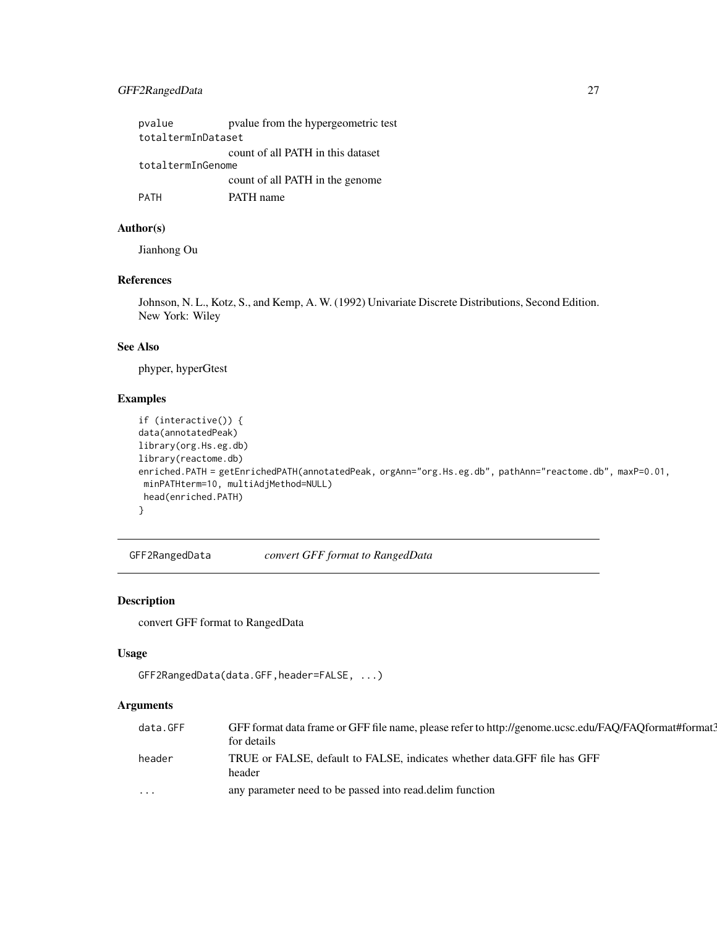### <span id="page-26-0"></span>GFF2RangedData 27

| pvalue             | pvalue from the hypergeometric test |  |  |
|--------------------|-------------------------------------|--|--|
| totaltermInDataset |                                     |  |  |
|                    | count of all PATH in this dataset   |  |  |
| totaltermInGenome  |                                     |  |  |
|                    | count of all PATH in the genome     |  |  |
| PATH               | PATH name                           |  |  |

### Author(s)

Jianhong Ou

### References

Johnson, N. L., Kotz, S., and Kemp, A. W. (1992) Univariate Discrete Distributions, Second Edition. New York: Wiley

### See Also

phyper, hyperGtest

### Examples

```
if (interactive()) {
data(annotatedPeak)
library(org.Hs.eg.db)
library(reactome.db)
enriched.PATH = getEnrichedPATH(annotatedPeak, orgAnn="org.Hs.eg.db", pathAnn="reactome.db", maxP=0.01,
minPATHterm=10, multiAdjMethod=NULL)
head(enriched.PATH)
}
```
GFF2RangedData *convert GFF format to RangedData*

### Description

convert GFF format to RangedData

### Usage

```
GFF2RangedData(data.GFF,header=FALSE, ...)
```
### Arguments

| data.GFF | GFF format data frame or GFF file name, please refer to http://genome.ucsc.edu/FAQ/FAQformat#format? |
|----------|------------------------------------------------------------------------------------------------------|
|          | for details                                                                                          |
| header   | TRUE or FALSE, default to FALSE, indicates whether data. GFF file has GFF<br>header                  |
| $\cdots$ | any parameter need to be passed into read. delim function                                            |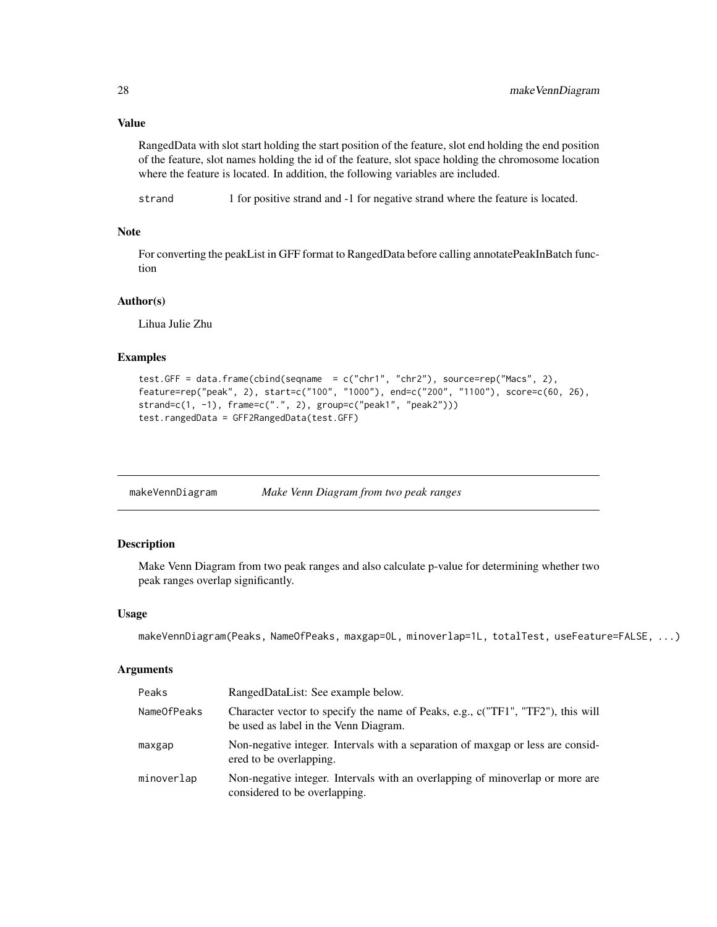### <span id="page-27-0"></span>Value

RangedData with slot start holding the start position of the feature, slot end holding the end position of the feature, slot names holding the id of the feature, slot space holding the chromosome location where the feature is located. In addition, the following variables are included.

strand 1 for positive strand and -1 for negative strand where the feature is located.

### Note

For converting the peakList in GFF format to RangedData before calling annotatePeakInBatch function

### Author(s)

Lihua Julie Zhu

#### Examples

```
test.GFF = data.frame(cbind(seqname = c("chr1", "chr2"), source=rep("Macs", 2),
feature=rep("peak", 2), start=c("100", "1000"), end=c("200", "1100"), score=c(60, 26),
strand=c(1, -1), frame=c(".", 2), group=c("peak1", "peak2")))
test.rangedData = GFF2RangedData(test.GFF)
```

| makeVennDiagram | Make Venn Diagram from two peak ranges |
|-----------------|----------------------------------------|
|                 |                                        |

#### Description

Make Venn Diagram from two peak ranges and also calculate p-value for determining whether two peak ranges overlap significantly.

### Usage

```
makeVennDiagram(Peaks, NameOfPeaks, maxgap=0L, minoverlap=1L, totalTest, useFeature=FALSE, ...)
```
#### Arguments

| Peaks       | RangedDataList: See example below.                                                                                       |
|-------------|--------------------------------------------------------------------------------------------------------------------------|
| NameOfPeaks | Character vector to specify the name of Peaks, e.g., c("TF1", "TF2"), this will<br>be used as label in the Venn Diagram. |
| maxgap      | Non-negative integer. Intervals with a separation of maxgap or less are consider-<br>ered to be overlapping.             |
| minoverlap  | Non-negative integer. Intervals with an overlapping of minoverlap or more are<br>considered to be overlapping.           |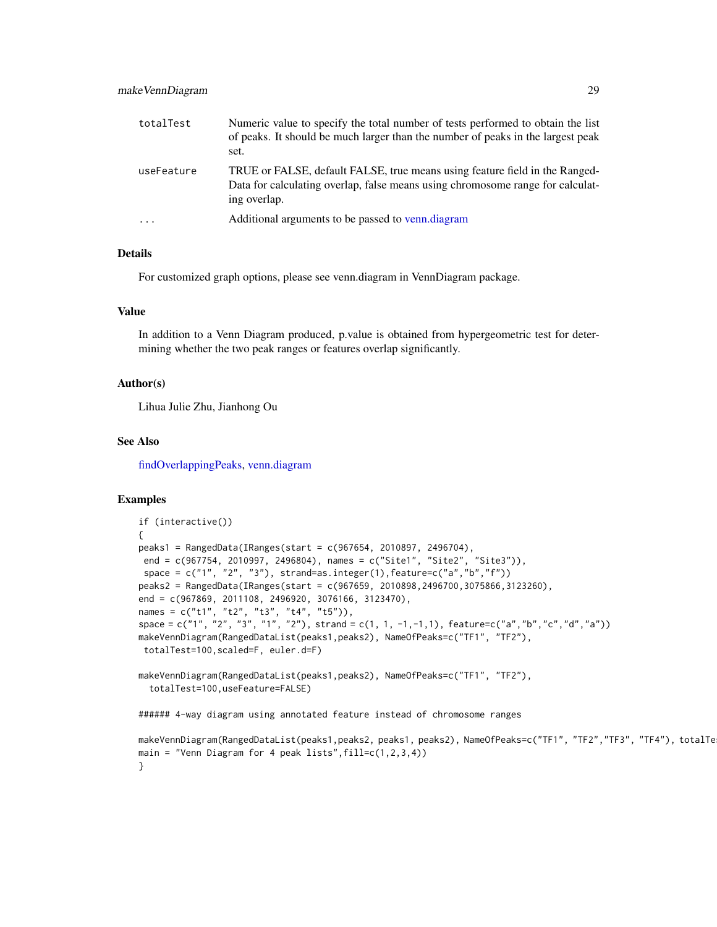| totalTest  | Numeric value to specify the total number of tests performed to obtain the list<br>of peaks. It should be much larger than the number of peaks in the largest peak<br>set.    |
|------------|-------------------------------------------------------------------------------------------------------------------------------------------------------------------------------|
| useFeature | TRUE or FALSE, default FALSE, true means using feature field in the Ranged-<br>Data for calculating overlap, false means using chromosome range for calculat-<br>ing overlap. |
| $\cdots$   | Additional arguments to be passed to venn.diagram                                                                                                                             |

#### Details

For customized graph options, please see venn.diagram in VennDiagram package.

#### Value

In addition to a Venn Diagram produced, p.value is obtained from hypergeometric test for determining whether the two peak ranges or features overlap significantly.

### Author(s)

Lihua Julie Zhu, Jianhong Ou

#### See Also

[findOverlappingPeaks,](#page-18-1) [venn.diagram](#page-0-0)

```
if (interactive())
{
peaks1 = RangedData(IRanges(start = c(967654, 2010897, 2496704),
end = c(967754, 2010997, 2496804), names = c("Site1", "Site2", "Site3")),
space = c("1", "2", "3"), strand = as.integer(1), feature = c("a", "b", "f"))peaks2 = RangedData(IRanges(start = c(967659, 2010898,2496700,3075866,3123260),
end = c(967869, 2011108, 2496920, 3076166, 3123470),
names = c("t1", "t2", "t3", "t4", "t5")),
space = c("1", "2", "3", "1", "2"), strand = c(1, 1, -1,-1,1), feature=c("a","b","c","d","a"))
makeVennDiagram(RangedDataList(peaks1,peaks2), NameOfPeaks=c("TF1", "TF2"),
totalTest=100,scaled=F, euler.d=F)
makeVennDiagram(RangedDataList(peaks1,peaks2), NameOfPeaks=c("TF1", "TF2"),
 totalTest=100,useFeature=FALSE)
###### 4-way diagram using annotated feature instead of chromosome ranges
makeVennDiagram(RangedDataList(peaks1,peaks2, peaks1, peaks2), NameOfPeaks=c("TF1", "TF2","TF3", "TF4"), totalTe
main = "Venn Diagram for 4 peak lists",fill=c(1,2,3,4))
}
```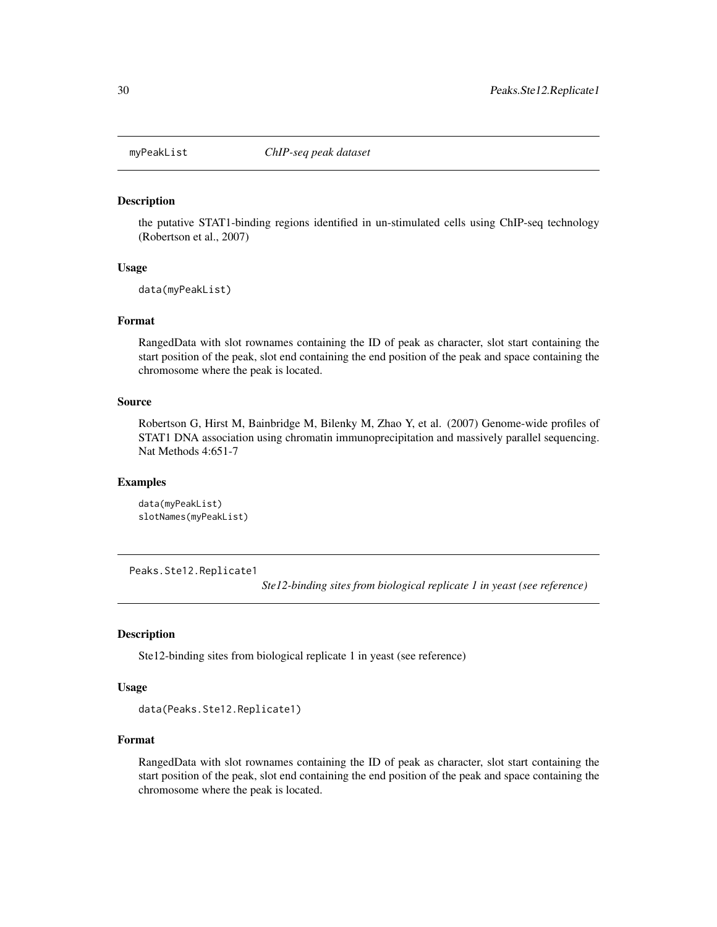<span id="page-29-0"></span>

#### Description

the putative STAT1-binding regions identified in un-stimulated cells using ChIP-seq technology (Robertson et al., 2007)

#### Usage

data(myPeakList)

#### Format

RangedData with slot rownames containing the ID of peak as character, slot start containing the start position of the peak, slot end containing the end position of the peak and space containing the chromosome where the peak is located.

#### Source

Robertson G, Hirst M, Bainbridge M, Bilenky M, Zhao Y, et al. (2007) Genome-wide profiles of STAT1 DNA association using chromatin immunoprecipitation and massively parallel sequencing. Nat Methods 4:651-7

### Examples

```
data(myPeakList)
slotNames(myPeakList)
```
Peaks.Ste12.Replicate1

*Ste12-binding sites from biological replicate 1 in yeast (see reference)*

#### Description

Ste12-binding sites from biological replicate 1 in yeast (see reference)

#### Usage

```
data(Peaks.Ste12.Replicate1)
```
### Format

RangedData with slot rownames containing the ID of peak as character, slot start containing the start position of the peak, slot end containing the end position of the peak and space containing the chromosome where the peak is located.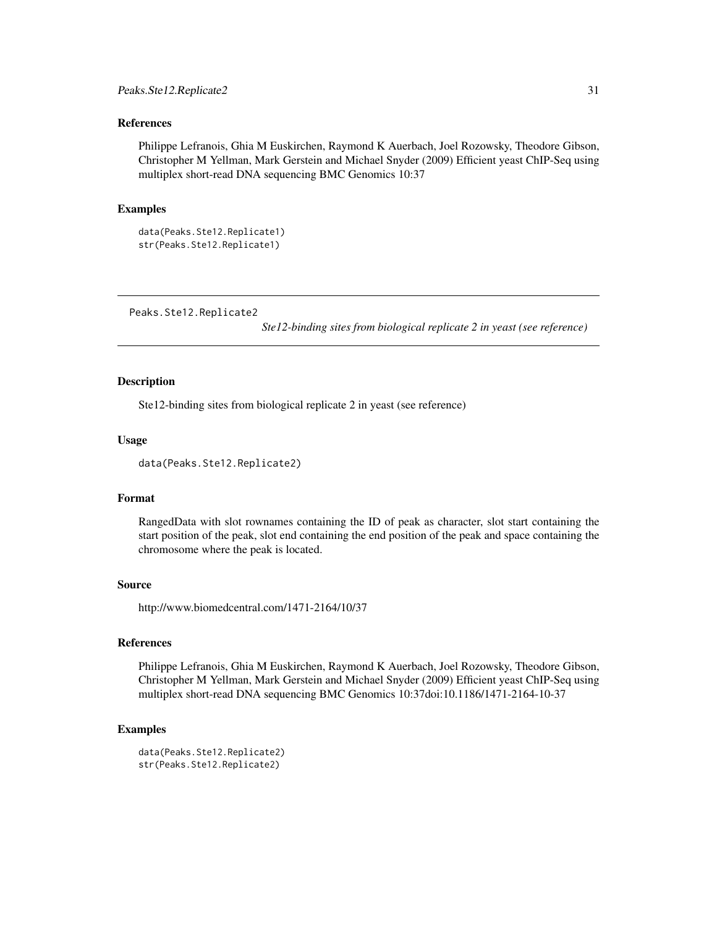#### <span id="page-30-0"></span>References

Philippe Lefranois, Ghia M Euskirchen, Raymond K Auerbach, Joel Rozowsky, Theodore Gibson, Christopher M Yellman, Mark Gerstein and Michael Snyder (2009) Efficient yeast ChIP-Seq using multiplex short-read DNA sequencing BMC Genomics 10:37

#### Examples

```
data(Peaks.Ste12.Replicate1)
str(Peaks.Ste12.Replicate1)
```
Peaks.Ste12.Replicate2

*Ste12-binding sites from biological replicate 2 in yeast (see reference)*

### Description

Ste12-binding sites from biological replicate 2 in yeast (see reference)

#### Usage

```
data(Peaks.Ste12.Replicate2)
```
### Format

RangedData with slot rownames containing the ID of peak as character, slot start containing the start position of the peak, slot end containing the end position of the peak and space containing the chromosome where the peak is located.

#### Source

http://www.biomedcentral.com/1471-2164/10/37

### References

Philippe Lefranois, Ghia M Euskirchen, Raymond K Auerbach, Joel Rozowsky, Theodore Gibson, Christopher M Yellman, Mark Gerstein and Michael Snyder (2009) Efficient yeast ChIP-Seq using multiplex short-read DNA sequencing BMC Genomics 10:37doi:10.1186/1471-2164-10-37

```
data(Peaks.Ste12.Replicate2)
str(Peaks.Ste12.Replicate2)
```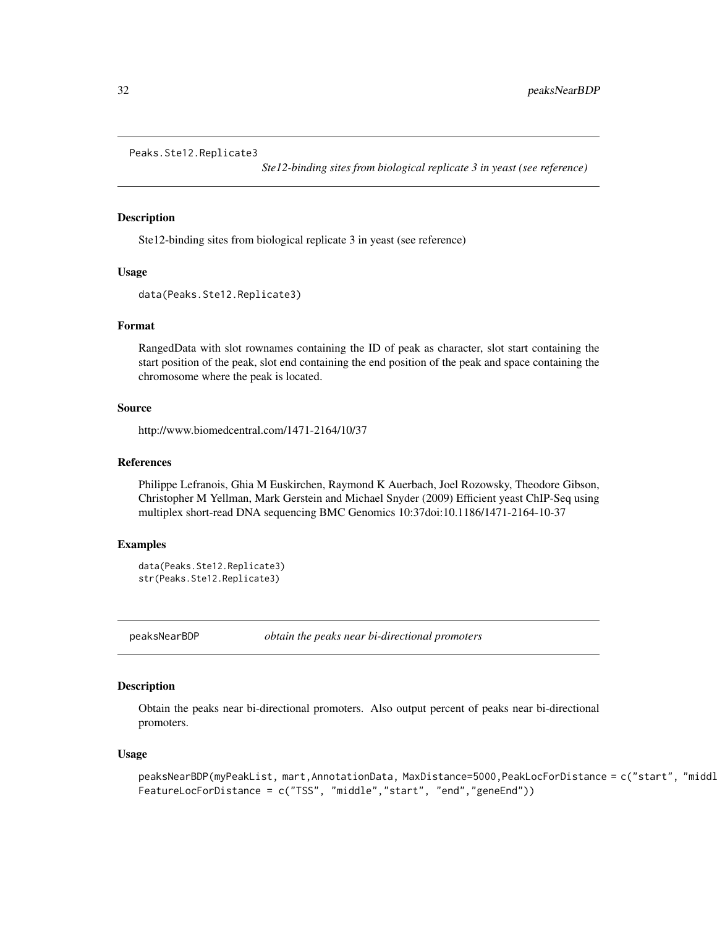```
Peaks.Ste12.Replicate3
```
*Ste12-binding sites from biological replicate 3 in yeast (see reference)*

#### Description

Ste12-binding sites from biological replicate 3 in yeast (see reference)

#### Usage

data(Peaks.Ste12.Replicate3)

#### Format

RangedData with slot rownames containing the ID of peak as character, slot start containing the start position of the peak, slot end containing the end position of the peak and space containing the chromosome where the peak is located.

#### Source

http://www.biomedcentral.com/1471-2164/10/37

#### References

Philippe Lefranois, Ghia M Euskirchen, Raymond K Auerbach, Joel Rozowsky, Theodore Gibson, Christopher M Yellman, Mark Gerstein and Michael Snyder (2009) Efficient yeast ChIP-Seq using multiplex short-read DNA sequencing BMC Genomics 10:37doi:10.1186/1471-2164-10-37

### Examples

```
data(Peaks.Ste12.Replicate3)
str(Peaks.Ste12.Replicate3)
```
peaksNearBDP *obtain the peaks near bi-directional promoters*

### Description

Obtain the peaks near bi-directional promoters. Also output percent of peaks near bi-directional promoters.

#### Usage

```
peaksNearBDP(myPeakList, mart,AnnotationData, MaxDistance=5000,PeakLocForDistance = c("start", "middl
FeatureLocForDistance = c("TSS", "middle","start", "end","geneEnd"))
```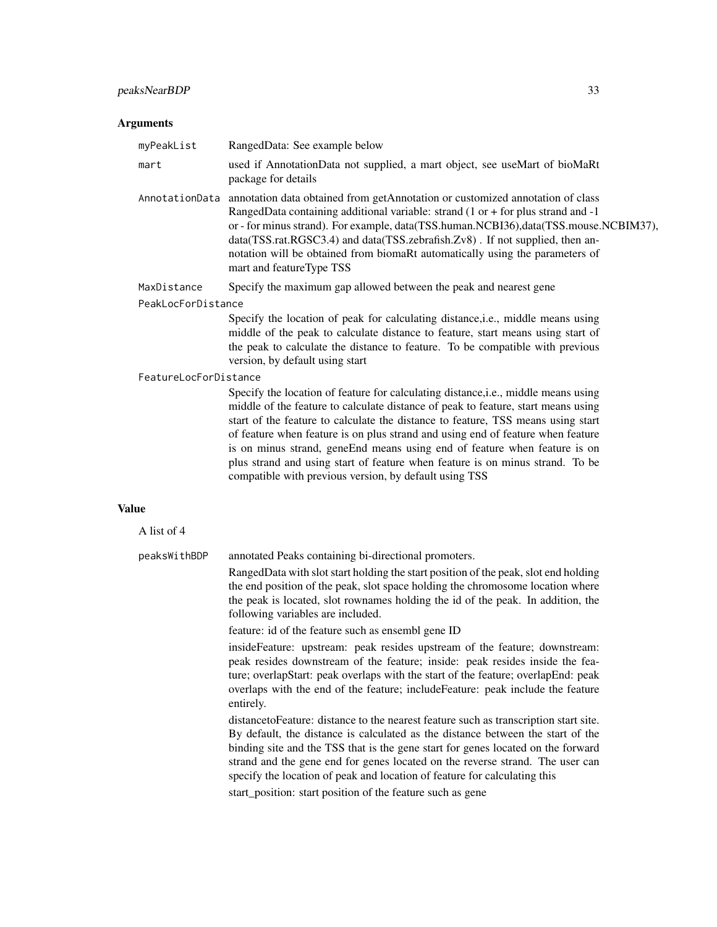## peaksNearBDP 33

### Arguments

| myPeakList                  | RangedData: See example below                                                                                                                                                                                                                                                                                                                                                                                                                                                                                                                                          |  |
|-----------------------------|------------------------------------------------------------------------------------------------------------------------------------------------------------------------------------------------------------------------------------------------------------------------------------------------------------------------------------------------------------------------------------------------------------------------------------------------------------------------------------------------------------------------------------------------------------------------|--|
| mart                        | used if AnnotationData not supplied, a mart object, see useMart of bioMaRt<br>package for details                                                                                                                                                                                                                                                                                                                                                                                                                                                                      |  |
| AnnotationData              | annotation data obtained from getAnnotation or customized annotation of class<br>RangedData containing additional variable: strand (1 or + for plus strand and -1<br>or - for minus strand). For example, data(TSS.human.NCBI36),data(TSS.mouse.NCBIM37),<br>data(TSS.rat.RGSC3.4) and data(TSS.zebrafish.Zv8). If not supplied, then an-<br>notation will be obtained from biomaRt automatically using the parameters of<br>mart and featureType TSS                                                                                                                  |  |
| MaxDistance                 | Specify the maximum gap allowed between the peak and nearest gene                                                                                                                                                                                                                                                                                                                                                                                                                                                                                                      |  |
| PeakLocForDistance          |                                                                                                                                                                                                                                                                                                                                                                                                                                                                                                                                                                        |  |
|                             | Specify the location of peak for calculating distance, i.e., middle means using<br>middle of the peak to calculate distance to feature, start means using start of<br>the peak to calculate the distance to feature. To be compatible with previous<br>version, by default using start                                                                                                                                                                                                                                                                                 |  |
| FeatureLocForDistance       |                                                                                                                                                                                                                                                                                                                                                                                                                                                                                                                                                                        |  |
|                             | Specify the location of feature for calculating distance, i.e., middle means using<br>middle of the feature to calculate distance of peak to feature, start means using<br>start of the feature to calculate the distance to feature, TSS means using start<br>of feature when feature is on plus strand and using end of feature when feature<br>is on minus strand, geneEnd means using end of feature when feature is on<br>plus strand and using start of feature when feature is on minus strand. To be<br>compatible with previous version, by default using TSS |  |
| ue                          |                                                                                                                                                                                                                                                                                                                                                                                                                                                                                                                                                                        |  |
| $\Lambda$ list of $\Lambda$ |                                                                                                                                                                                                                                                                                                                                                                                                                                                                                                                                                                        |  |

| A list of 4  |                                                                                                                                                                                                                                                                                                                                                                                                                             |
|--------------|-----------------------------------------------------------------------------------------------------------------------------------------------------------------------------------------------------------------------------------------------------------------------------------------------------------------------------------------------------------------------------------------------------------------------------|
| peaksWithBDP | annotated Peaks containing bi-directional promoters.                                                                                                                                                                                                                                                                                                                                                                        |
|              | RangedData with slot start holding the start position of the peak, slot end holding<br>the end position of the peak, slot space holding the chromosome location where<br>the peak is located, slot rownames holding the id of the peak. In addition, the<br>following variables are included.                                                                                                                               |
|              | feature: id of the feature such as ensembl gene ID                                                                                                                                                                                                                                                                                                                                                                          |
|              | insideFeature: upstream: peak resides upstream of the feature; downstream:<br>peak resides downstream of the feature; inside: peak resides inside the fea-<br>ture; overlapStart: peak overlaps with the start of the feature; overlapEnd: peak<br>overlaps with the end of the feature; include Feature: peak include the feature<br>entirely.                                                                             |
|              | distance to Feature: distance to the nearest feature such as transcription start site.<br>By default, the distance is calculated as the distance between the start of the<br>binding site and the TSS that is the gene start for genes located on the forward<br>strand and the gene end for genes located on the reverse strand. The user can<br>specify the location of peak and location of feature for calculating this |
|              | stort position, stort position of the feature such as sons                                                                                                                                                                                                                                                                                                                                                                  |

start\_position: start position of the feature such as gene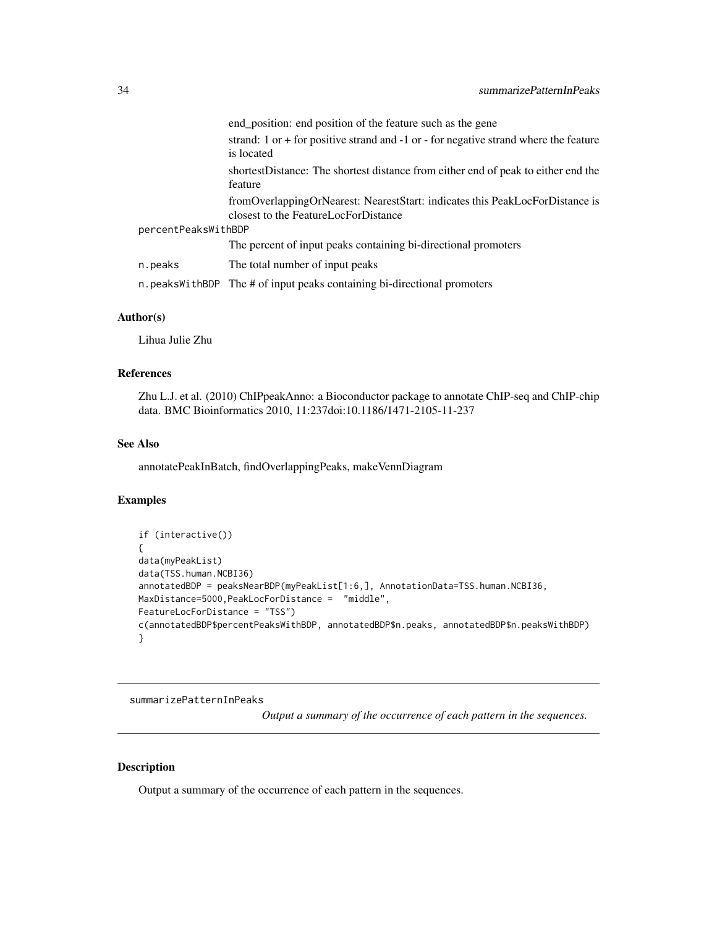<span id="page-33-0"></span>

|                     |         | end_position: end position of the feature such as the gene                                                           |
|---------------------|---------|----------------------------------------------------------------------------------------------------------------------|
|                     |         | strand: $1$ or $+$ for positive strand and $-1$ or $-$ for negative strand where the feature<br>is located           |
|                     |         | shortestDistance: The shortest distance from either end of peak to either end the<br>feature                         |
|                     |         | fromOverlappingOrNearest: NearestStart: indicates this PeakLocForDistance is<br>closest to the FeatureLocForDistance |
| percentPeaksWithBDP |         |                                                                                                                      |
|                     |         | The percent of input peaks containing bi-directional promoters                                                       |
|                     | n.peaks | The total number of input peaks                                                                                      |
|                     |         | n. peaks With BDP The # of input peaks containing bi-directional promoters                                           |

#### Author(s)

Lihua Julie Zhu

### References

Zhu L.J. et al. (2010) ChIPpeakAnno: a Bioconductor package to annotate ChIP-seq and ChIP-chip data. BMC Bioinformatics 2010, 11:237doi:10.1186/1471-2105-11-237

### See Also

annotatePeakInBatch, findOverlappingPeaks, makeVennDiagram

#### Examples

```
if (interactive())
{
data(myPeakList)
data(TSS.human.NCBI36)
annotatedBDP = peaksNearBDP(myPeakList[1:6,], AnnotationData=TSS.human.NCBI36,
MaxDistance=5000,PeakLocForDistance = "middle",
FeatureLocForDistance = "TSS")
c(annotatedBDP$percentPeaksWithBDP, annotatedBDP$n.peaks, annotatedBDP$n.peaksWithBDP)
}
```
summarizePatternInPeaks

*Output a summary of the occurrence of each pattern in the sequences.*

### Description

Output a summary of the occurrence of each pattern in the sequences.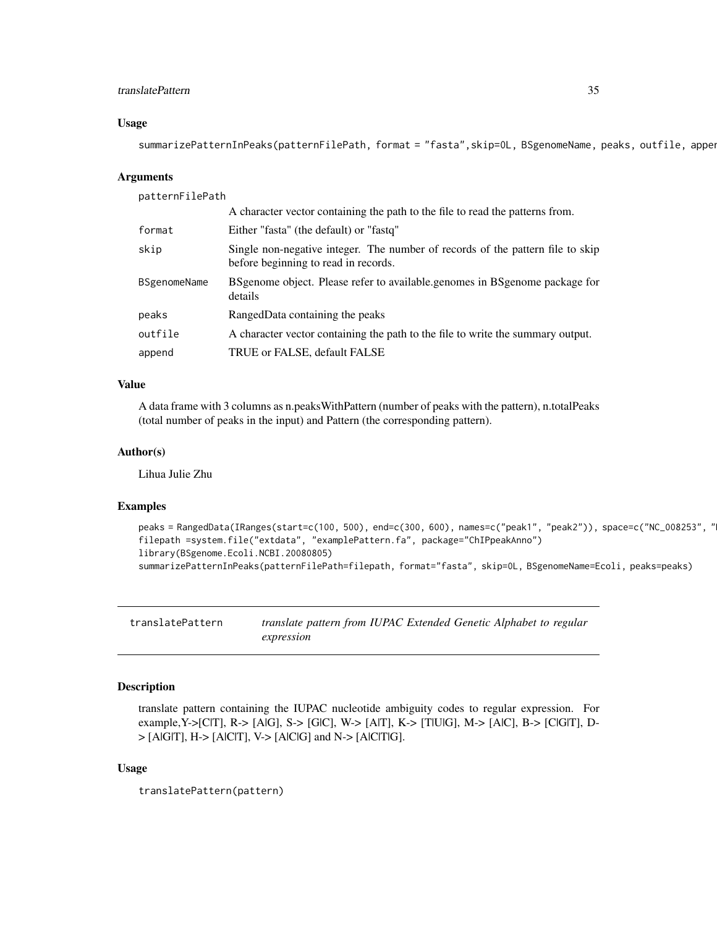### <span id="page-34-0"></span>translatePattern 35

#### Usage

summarizePatternInPeaks(patternFilePath, format = "fasta",skip=0L, BSgenomeName, peaks, outfile, apper

#### Arguments

patternFilePath

|              | A character vector containing the path to the file to read the patterns from.                                          |
|--------------|------------------------------------------------------------------------------------------------------------------------|
| format       | Either "fasta" (the default) or "fastq"                                                                                |
| skip         | Single non-negative integer. The number of records of the pattern file to skip<br>before beginning to read in records. |
| BSgenomeName | BS genome object. Please refer to available genomes in BS genome package for<br>details                                |
| peaks        | RangedData containing the peaks                                                                                        |
| outfile      | A character vector containing the path to the file to write the summary output.                                        |
| append       | TRUE or FALSE, default FALSE                                                                                           |

### Value

A data frame with 3 columns as n.peaksWithPattern (number of peaks with the pattern), n.totalPeaks (total number of peaks in the input) and Pattern (the corresponding pattern).

### Author(s)

Lihua Julie Zhu

#### Examples

```
peaks = RangedData(IRanges(start=c(100, 500), end=c(300, 600), names=c("peak1", "peak2")), space=c("NC_008253", "
filepath =system.file("extdata", "examplePattern.fa", package="ChIPpeakAnno")
library(BSgenome.Ecoli.NCBI.20080805)
summarizePatternInPeaks(patternFilePath=filepath, format="fasta", skip=0L, BSgenomeName=Ecoli, peaks=peaks)
```
translatePattern *translate pattern from IUPAC Extended Genetic Alphabet to regular expression*

### Description

translate pattern containing the IUPAC nucleotide ambiguity codes to regular expression. For example,Y->[C|T], R-> [A|G], S-> [G|C], W-> [A|T], K-> [T|U|G], M-> [A|C], B-> [C|G|T], D-  $>$  [AlG|T], H- $>$  [AlC|T], V- $>$  [AlC|G] and N- $>$  [AlC|T|G].

#### Usage

translatePattern(pattern)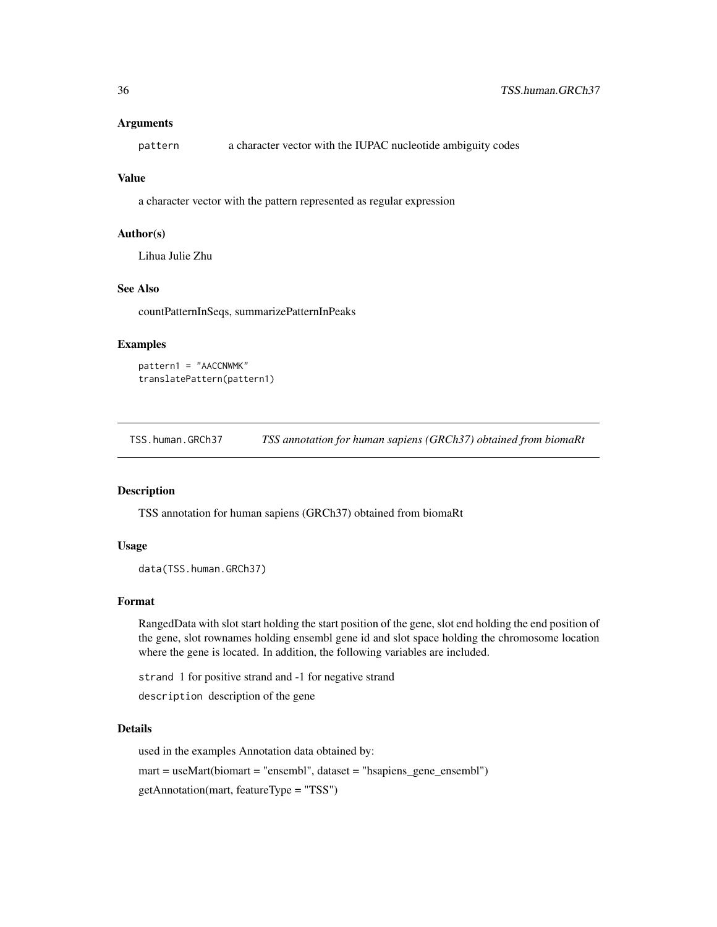#### <span id="page-35-0"></span>**Arguments**

pattern a character vector with the IUPAC nucleotide ambiguity codes

### Value

a character vector with the pattern represented as regular expression

#### Author(s)

Lihua Julie Zhu

### See Also

countPatternInSeqs, summarizePatternInPeaks

#### Examples

```
pattern1 = "AACCNWMK"
translatePattern(pattern1)
```
TSS.human.GRCh37 *TSS annotation for human sapiens (GRCh37) obtained from biomaRt*

#### Description

TSS annotation for human sapiens (GRCh37) obtained from biomaRt

#### Usage

```
data(TSS.human.GRCh37)
```
#### Format

RangedData with slot start holding the start position of the gene, slot end holding the end position of the gene, slot rownames holding ensembl gene id and slot space holding the chromosome location where the gene is located. In addition, the following variables are included.

strand 1 for positive strand and -1 for negative strand

description description of the gene

#### Details

used in the examples Annotation data obtained by:

mart = useMart(biomart = "ensembl", dataset = "hsapiens\_gene\_ensembl")

getAnnotation(mart, featureType = "TSS")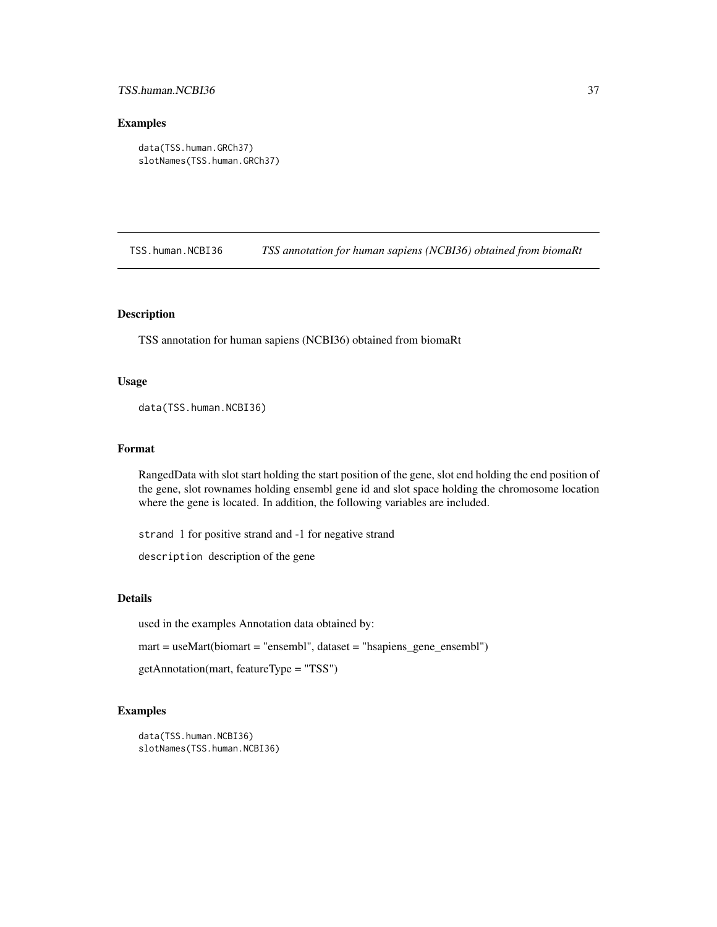### <span id="page-36-0"></span>TSS.human.NCBI36 37

#### Examples

```
data(TSS.human.GRCh37)
slotNames(TSS.human.GRCh37)
```
TSS.human.NCBI36 *TSS annotation for human sapiens (NCBI36) obtained from biomaRt*

#### Description

TSS annotation for human sapiens (NCBI36) obtained from biomaRt

### Usage

data(TSS.human.NCBI36)

### Format

RangedData with slot start holding the start position of the gene, slot end holding the end position of the gene, slot rownames holding ensembl gene id and slot space holding the chromosome location where the gene is located. In addition, the following variables are included.

strand 1 for positive strand and -1 for negative strand

description description of the gene

### Details

used in the examples Annotation data obtained by:

mart = useMart(biomart = "ensembl", dataset = "hsapiens\_gene\_ensembl")

```
getAnnotation(mart, featureType = "TSS")
```

```
data(TSS.human.NCBI36)
slotNames(TSS.human.NCBI36)
```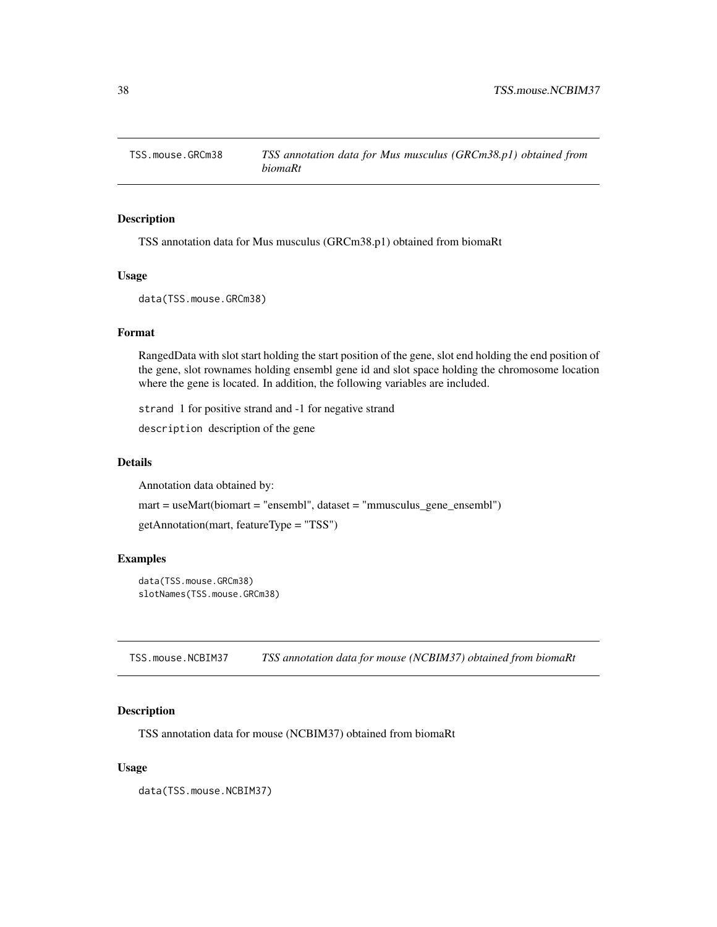<span id="page-37-0"></span>

### Description

TSS annotation data for Mus musculus (GRCm38.p1) obtained from biomaRt

### Usage

data(TSS.mouse.GRCm38)

#### Format

RangedData with slot start holding the start position of the gene, slot end holding the end position of the gene, slot rownames holding ensembl gene id and slot space holding the chromosome location where the gene is located. In addition, the following variables are included.

strand 1 for positive strand and -1 for negative strand

description description of the gene

### Details

Annotation data obtained by:

mart = useMart(biomart = "ensembl", dataset = "mmusculus\_gene\_ensembl")

getAnnotation(mart, featureType = "TSS")

### Examples

```
data(TSS.mouse.GRCm38)
slotNames(TSS.mouse.GRCm38)
```
TSS.mouse.NCBIM37 *TSS annotation data for mouse (NCBIM37) obtained from biomaRt*

#### Description

TSS annotation data for mouse (NCBIM37) obtained from biomaRt

#### Usage

data(TSS.mouse.NCBIM37)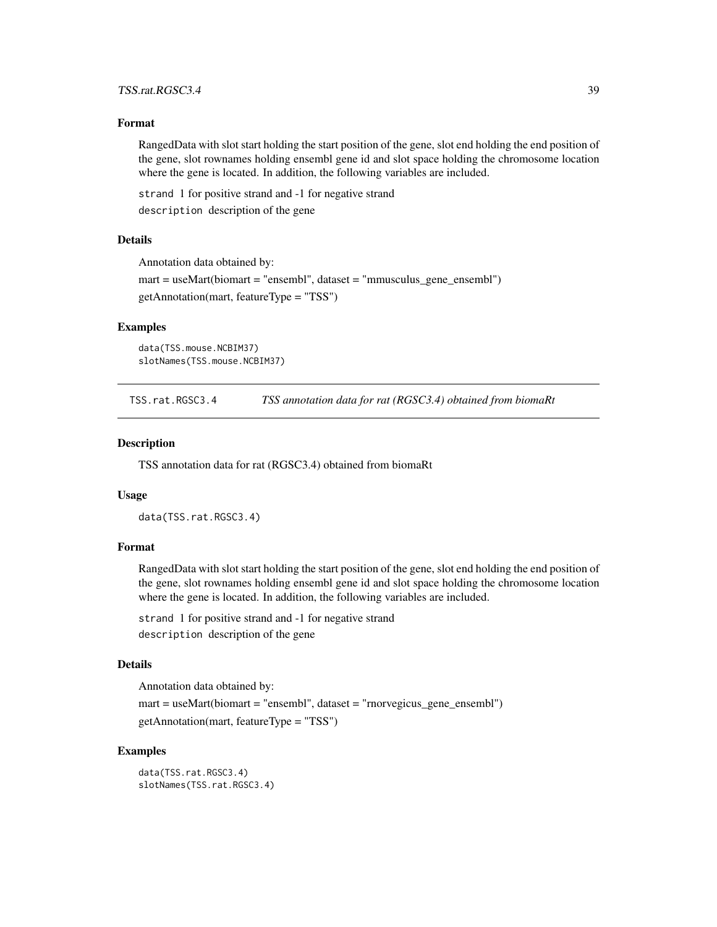### <span id="page-38-0"></span>TSS.rat.RGSC3.4 39

#### Format

RangedData with slot start holding the start position of the gene, slot end holding the end position of the gene, slot rownames holding ensembl gene id and slot space holding the chromosome location where the gene is located. In addition, the following variables are included.

strand 1 for positive strand and -1 for negative strand description description of the gene

#### Details

Annotation data obtained by:

mart = useMart(biomart = "ensembl", dataset = "mmusculus\_gene\_ensembl") getAnnotation(mart, featureType = "TSS")

### Examples

```
data(TSS.mouse.NCBIM37)
slotNames(TSS.mouse.NCBIM37)
```
TSS.rat.RGSC3.4 *TSS annotation data for rat (RGSC3.4) obtained from biomaRt*

#### Description

TSS annotation data for rat (RGSC3.4) obtained from biomaRt

#### Usage

data(TSS.rat.RGSC3.4)

### Format

RangedData with slot start holding the start position of the gene, slot end holding the end position of the gene, slot rownames holding ensembl gene id and slot space holding the chromosome location where the gene is located. In addition, the following variables are included.

strand 1 for positive strand and -1 for negative strand description description of the gene

#### Details

Annotation data obtained by:

mart = useMart(biomart = "ensembl", dataset = "rnorvegicus\_gene\_ensembl") getAnnotation(mart, featureType = "TSS")

### Examples

data(TSS.rat.RGSC3.4) slotNames(TSS.rat.RGSC3.4)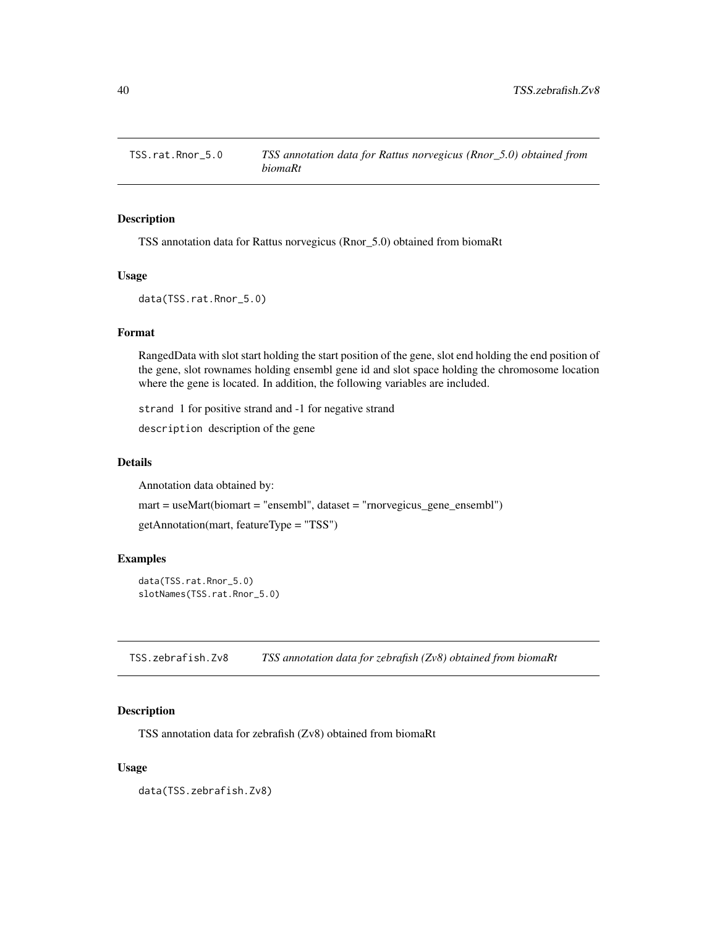<span id="page-39-0"></span>

### Description

TSS annotation data for Rattus norvegicus (Rnor\_5.0) obtained from biomaRt

### Usage

data(TSS.rat.Rnor\_5.0)

#### Format

RangedData with slot start holding the start position of the gene, slot end holding the end position of the gene, slot rownames holding ensembl gene id and slot space holding the chromosome location where the gene is located. In addition, the following variables are included.

strand 1 for positive strand and -1 for negative strand

description description of the gene

### Details

Annotation data obtained by:

mart = useMart(biomart = "ensembl", dataset = "rnorvegicus\_gene\_ensembl") getAnnotation(mart, featureType = "TSS")

#### Examples

data(TSS.rat.Rnor\_5.0) slotNames(TSS.rat.Rnor\_5.0)

TSS.zebrafish.Zv8 *TSS annotation data for zebrafish (Zv8) obtained from biomaRt*

#### Description

TSS annotation data for zebrafish (Zv8) obtained from biomaRt

#### Usage

data(TSS.zebrafish.Zv8)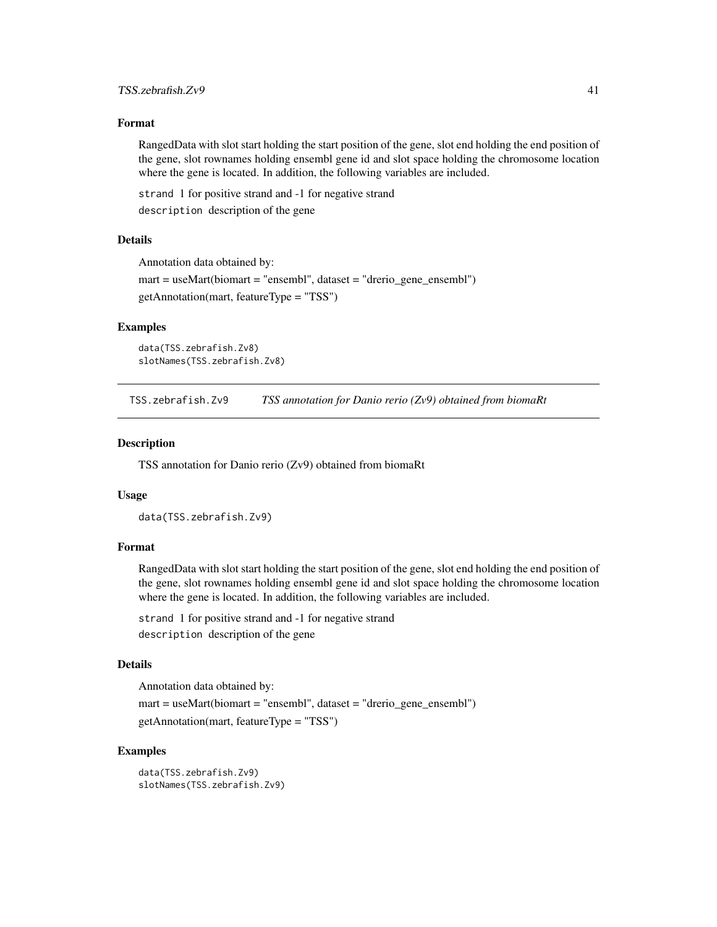#### <span id="page-40-0"></span>Format

RangedData with slot start holding the start position of the gene, slot end holding the end position of the gene, slot rownames holding ensembl gene id and slot space holding the chromosome location where the gene is located. In addition, the following variables are included.

strand 1 for positive strand and -1 for negative strand description description of the gene

#### Details

Annotation data obtained by:

mart = useMart(biomart = "ensembl", dataset = "drerio\_gene\_ensembl") getAnnotation(mart, featureType = "TSS")

### Examples

```
data(TSS.zebrafish.Zv8)
slotNames(TSS.zebrafish.Zv8)
```
TSS.zebrafish.Zv9 *TSS annotation for Danio rerio (Zv9) obtained from biomaRt*

#### Description

TSS annotation for Danio rerio (Zv9) obtained from biomaRt

#### Usage

```
data(TSS.zebrafish.Zv9)
```
### Format

RangedData with slot start holding the start position of the gene, slot end holding the end position of the gene, slot rownames holding ensembl gene id and slot space holding the chromosome location where the gene is located. In addition, the following variables are included.

strand 1 for positive strand and -1 for negative strand description description of the gene

### Details

Annotation data obtained by:

mart = useMart(biomart = "ensembl", dataset = "drerio\_gene\_ensembl") getAnnotation(mart, featureType = "TSS")

```
data(TSS.zebrafish.Zv9)
slotNames(TSS.zebrafish.Zv9)
```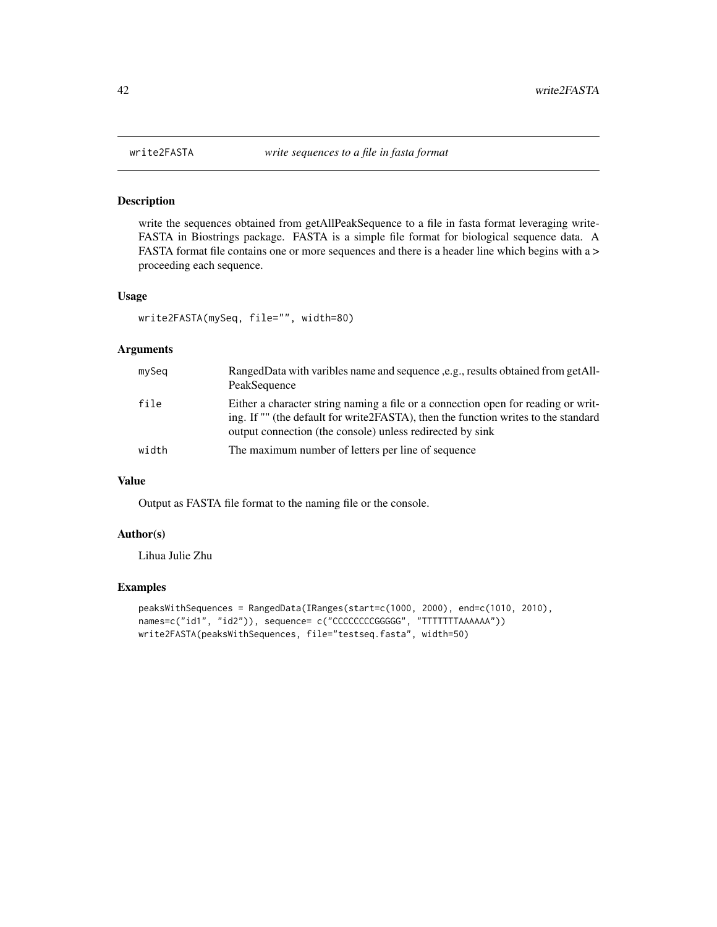### Description

write the sequences obtained from getAllPeakSequence to a file in fasta format leveraging write-FASTA in Biostrings package. FASTA is a simple file format for biological sequence data. A FASTA format file contains one or more sequences and there is a header line which begins with a > proceeding each sequence.

### Usage

```
write2FASTA(mySeq, file="", width=80)
```
#### Arguments

| mySeq | RangedData with varibles name and sequence <i>s.g.</i> , results obtained from getAll-<br>PeakSequence                                                                                                                                |
|-------|---------------------------------------------------------------------------------------------------------------------------------------------------------------------------------------------------------------------------------------|
| file  | Either a character string naming a file or a connection open for reading or writ-<br>ing. If "" (the default for write 2FASTA), then the function writes to the standard<br>output connection (the console) unless redirected by sink |
| width | The maximum number of letters per line of sequence                                                                                                                                                                                    |

#### Value

Output as FASTA file format to the naming file or the console.

### Author(s)

Lihua Julie Zhu

```
peaksWithSequences = RangedData(IRanges(start=c(1000, 2000), end=c(1010, 2010),
names=c("id1", "id2")), sequence= c("CCCCCCCCGGGGG", "TTTTTTTAAAAAA"))
write2FASTA(peaksWithSequences, file="testseq.fasta", width=50)
```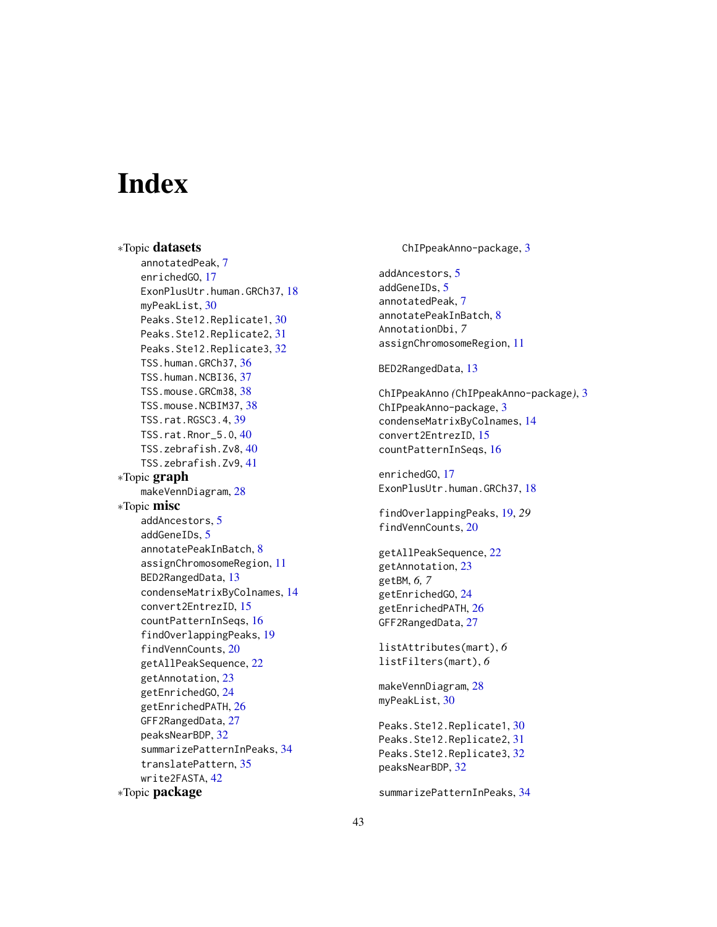# <span id="page-42-0"></span>**Index**

∗Topic datasets annotatedPeak, [7](#page-6-0) enrichedGO, [17](#page-16-0) ExonPlusUtr.human.GRCh37, [18](#page-17-0) myPeakList, [30](#page-29-0) Peaks.Ste12.Replicate1, [30](#page-29-0) Peaks.Ste12.Replicate2, [31](#page-30-0) Peaks.Ste12.Replicate3, [32](#page-31-0) TSS.human.GRCh37, [36](#page-35-0) TSS.human.NCBI36, [37](#page-36-0) TSS.mouse.GRCm38, [38](#page-37-0) TSS.mouse.NCBIM37, [38](#page-37-0) TSS.rat.RGSC3.4, [39](#page-38-0) TSS.rat.Rnor\_5.0, [40](#page-39-0) TSS.zebrafish.Zv8, [40](#page-39-0) TSS.zebrafish.Zv9, [41](#page-40-0) ∗Topic graph makeVennDiagram, [28](#page-27-0) ∗Topic misc addAncestors, [5](#page-4-0) addGeneIDs, [5](#page-4-0) annotatePeakInBatch, [8](#page-7-0) assignChromosomeRegion, [11](#page-10-0) BED2RangedData, [13](#page-12-0) condenseMatrixByColnames, [14](#page-13-0) convert2EntrezID, [15](#page-14-0) countPatternInSeqs, [16](#page-15-0) findOverlappingPeaks, [19](#page-18-0) findVennCounts, [20](#page-19-0) getAllPeakSequence, [22](#page-21-0) getAnnotation, [23](#page-22-0) getEnrichedGO, [24](#page-23-0) getEnrichedPATH, [26](#page-25-0) GFF2RangedData, [27](#page-26-0) peaksNearBDP, [32](#page-31-0) summarizePatternInPeaks, [34](#page-33-0) translatePattern, [35](#page-34-0) write2FASTA, [42](#page-41-0) ∗Topic package

ChIPpeakAnno-package, [3](#page-2-0)

addAncestors, [5](#page-4-0) addGeneIDs, [5](#page-4-0) annotatedPeak, [7](#page-6-0) annotatePeakInBatch, [8](#page-7-0) AnnotationDbi, *7* assignChromosomeRegion, [11](#page-10-0)

#### BED2RangedData, [13](#page-12-0)

ChIPpeakAnno *(*ChIPpeakAnno-package*)*, [3](#page-2-0) ChIPpeakAnno-package, [3](#page-2-0) condenseMatrixByColnames, [14](#page-13-0) convert2EntrezID, [15](#page-14-0) countPatternInSeqs, [16](#page-15-0)

enrichedGO, [17](#page-16-0) ExonPlusUtr.human.GRCh37, [18](#page-17-0)

findOverlappingPeaks, [19,](#page-18-0) *29* findVennCounts, [20](#page-19-0)

getAllPeakSequence, [22](#page-21-0) getAnnotation, [23](#page-22-0) getBM, *6, 7* getEnrichedGO, [24](#page-23-0) getEnrichedPATH, [26](#page-25-0) GFF2RangedData, [27](#page-26-0)

```
listAttributes(mart), 6
listFilters(mart), 6
```
makeVennDiagram, [28](#page-27-0) myPeakList, [30](#page-29-0)

Peaks.Ste12.Replicate1, [30](#page-29-0) Peaks.Ste12.Replicate2, [31](#page-30-0) Peaks.Ste12.Replicate3, [32](#page-31-0) peaksNearBDP, [32](#page-31-0)

summarizePatternInPeaks, [34](#page-33-0)